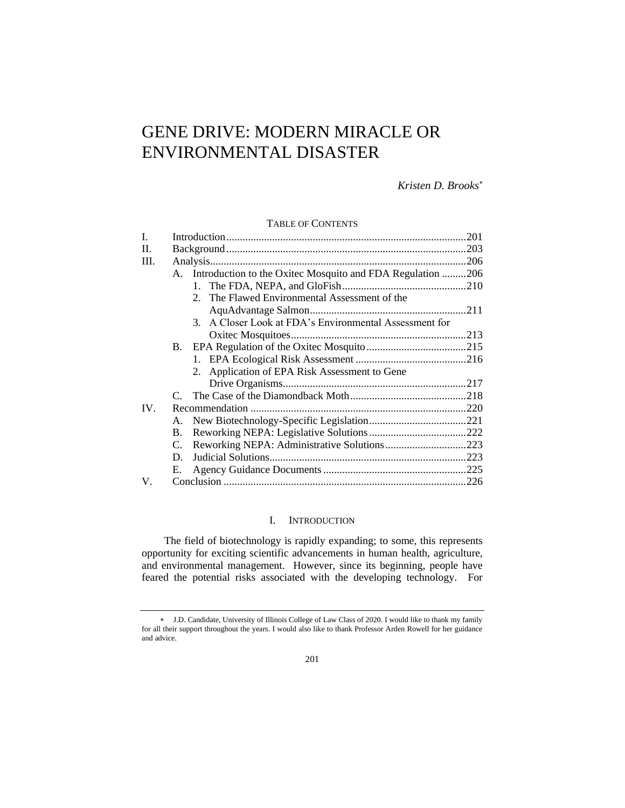# GENE DRIVE: MODERN MIRACLE OR ENVIRONMENTAL DISASTER

## *Kristen D. Brooks*

## TABLE OF CONTENTS

| I.   |               |                                                               |  |
|------|---------------|---------------------------------------------------------------|--|
| H.   |               |                                                               |  |
| III. |               |                                                               |  |
|      |               | A. Introduction to the Oxitec Mosquito and FDA Regulation 206 |  |
|      |               |                                                               |  |
|      |               | The Flawed Environmental Assessment of the<br>$\mathcal{D}$   |  |
|      |               |                                                               |  |
|      |               | 3. A Closer Look at FDA's Environmental Assessment for        |  |
|      |               |                                                               |  |
|      |               |                                                               |  |
|      |               |                                                               |  |
|      |               | 2. Application of EPA Risk Assessment to Gene                 |  |
|      |               |                                                               |  |
|      | $\mathcal{C}$ |                                                               |  |
| IV.  |               |                                                               |  |
|      |               |                                                               |  |
|      | B.            |                                                               |  |
|      | C.            | Reworking NEPA: Administrative Solutions223                   |  |
|      | D.            |                                                               |  |
|      | Е.            |                                                               |  |
| V.   |               |                                                               |  |

## I. INTRODUCTION

The field of biotechnology is rapidly expanding; to some, this represents opportunity for exciting scientific advancements in human health, agriculture, and environmental management. However, since its beginning, people have feared the potential risks associated with the developing technology. For

J.D. Candidate, University of Illinois College of Law Class of 2020. I would like to thank my family for all their support throughout the years. I would also like to thank Professor Arden Rowell for her guidance and advice.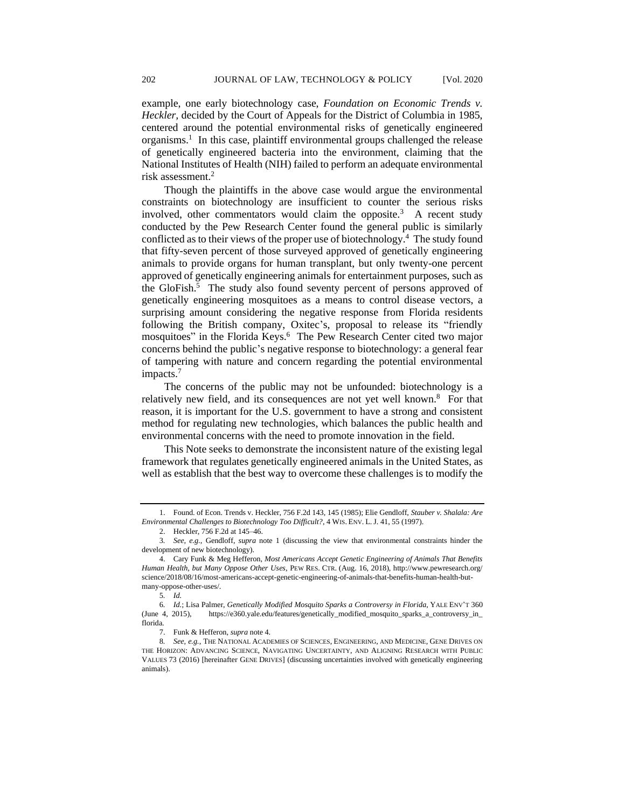example, one early biotechnology case, *Foundation on Economic Trends v. Heckler,* decided by the Court of Appeals for the District of Columbia in 1985, centered around the potential environmental risks of genetically engineered organisms.<sup>1</sup> In this case, plaintiff environmental groups challenged the release of genetically engineered bacteria into the environment, claiming that the National Institutes of Health (NIH) failed to perform an adequate environmental risk assessment.<sup>2</sup>

Though the plaintiffs in the above case would argue the environmental constraints on biotechnology are insufficient to counter the serious risks involved, other commentators would claim the opposite.<sup>3</sup> A recent study conducted by the Pew Research Center found the general public is similarly conflicted as to their views of the proper use of biotechnology.<sup>4</sup> The study found that fifty-seven percent of those surveyed approved of genetically engineering animals to provide organs for human transplant, but only twenty-one percent approved of genetically engineering animals for entertainment purposes, such as the GloFish.<sup>5</sup> The study also found seventy percent of persons approved of genetically engineering mosquitoes as a means to control disease vectors, a surprising amount considering the negative response from Florida residents following the British company, Oxitec's, proposal to release its "friendly mosquitoes" in the Florida Keys.<sup>6</sup> The Pew Research Center cited two major concerns behind the public's negative response to biotechnology: a general fear of tampering with nature and concern regarding the potential environmental impacts.<sup>7</sup>

The concerns of the public may not be unfounded: biotechnology is a relatively new field, and its consequences are not yet well known.<sup>8</sup> For that reason, it is important for the U.S. government to have a strong and consistent method for regulating new technologies, which balances the public health and environmental concerns with the need to promote innovation in the field.

This Note seeks to demonstrate the inconsistent nature of the existing legal framework that regulates genetically engineered animals in the United States, as well as establish that the best way to overcome these challenges is to modify the

<sup>1.</sup> Found. of Econ. Trends v. Heckler, 756 F.2d 143, 145 (1985); Elie Gendloff, *Stauber v. Shalala: Are Environmental Challenges to Biotechnology Too Difficult?*, 4 WIS. ENV. L.J. 41, 55 (1997).

<sup>2.</sup> Heckler, 756 F.2d at 145–46.

<sup>3</sup>*. See, e.g.*, Gendloff, *supra* note 1 (discussing the view that environmental constraints hinder the development of new biotechnology).

<sup>4.</sup> Cary Funk & Meg Hefferon, *Most Americans Accept Genetic Engineering of Animals That Benefits Human Health, but Many Oppose Other Uses,* PEW RES. CTR. (Aug. 16, 2018), http://www.pewresearch.org/ science/2018/08/16/most-americans-accept-genetic-engineering-of-animals-that-benefits-human-health-butmany-oppose-other-uses/.

<sup>5</sup>*. Id.*

<sup>6</sup>*. Id.*; Lisa Palmer, *Genetically Modified Mosquito Sparks a Controversy in Florida,* YALE ENV'T 360 (June 4, 2015), https://e360.yale.edu/features/genetically\_modified\_mosquito\_sparks\_a\_controversy\_in\_ florida.

<sup>7.</sup> Funk & Hefferon, *supra* note 4.

<sup>8</sup>*. See, e.g.*, THE NATIONAL ACADEMIES OF SCIENCES, ENGINEERING, AND MEDICINE, GENE DRIVES ON THE HORIZON: ADVANCING SCIENCE, NAVIGATING UNCERTAINTY, AND ALIGNING RESEARCH WITH PUBLIC VALUES 73 (2016) [hereinafter GENE DRIVES] (discussing uncertainties involved with genetically engineering animals).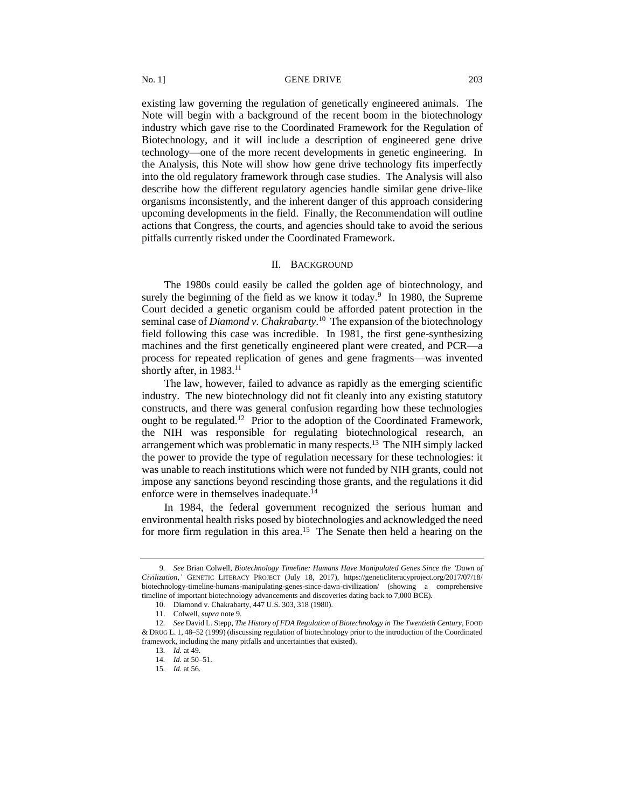existing law governing the regulation of genetically engineered animals. The Note will begin with a background of the recent boom in the biotechnology industry which gave rise to the Coordinated Framework for the Regulation of Biotechnology, and it will include a description of engineered gene drive technology—one of the more recent developments in genetic engineering. In the Analysis, this Note will show how gene drive technology fits imperfectly into the old regulatory framework through case studies. The Analysis will also describe how the different regulatory agencies handle similar gene drive-like organisms inconsistently, and the inherent danger of this approach considering upcoming developments in the field. Finally, the Recommendation will outline actions that Congress, the courts, and agencies should take to avoid the serious pitfalls currently risked under the Coordinated Framework.

## II. BACKGROUND

The 1980s could easily be called the golden age of biotechnology, and surely the beginning of the field as we know it today.<sup>9</sup> In 1980, the Supreme Court decided a genetic organism could be afforded patent protection in the seminal case of *Diamond v. Chakrabarty*. 10 The expansion of the biotechnology field following this case was incredible. In 1981, the first gene-synthesizing machines and the first genetically engineered plant were created, and PCR—a process for repeated replication of genes and gene fragments—was invented shortly after, in  $1983$ <sup>11</sup>

The law, however, failed to advance as rapidly as the emerging scientific industry. The new biotechnology did not fit cleanly into any existing statutory constructs, and there was general confusion regarding how these technologies ought to be regulated.<sup>12</sup> Prior to the adoption of the Coordinated Framework, the NIH was responsible for regulating biotechnological research, an arrangement which was problematic in many respects.<sup>13</sup> The NIH simply lacked the power to provide the type of regulation necessary for these technologies: it was unable to reach institutions which were not funded by NIH grants, could not impose any sanctions beyond rescinding those grants, and the regulations it did enforce were in themselves inadequate.<sup>14</sup>

In 1984, the federal government recognized the serious human and environmental health risks posed by biotechnologies and acknowledged the need for more firm regulation in this area.<sup>15</sup> The Senate then held a hearing on the

<sup>9</sup>*. See* Brian Colwell, *Biotechnology Timeline: Humans Have Manipulated Genes Since the 'Dawn of Civilization,'* GENETIC LITERACY PROJECT (July 18, 2017), https://geneticliteracyproject.org/2017/07/18/ biotechnology-timeline-humans-manipulating-genes-since-dawn-civilization/ (showing a comprehensive timeline of important biotechnology advancements and discoveries dating back to 7,000 BCE).

<sup>10.</sup> Diamond v. Chakrabarty, 447 U.S. 303, 318 (1980).

<sup>11.</sup> Colwell, *supra* note 9.

<sup>12</sup>*. See* David L. Stepp, *The History of FDA Regulation of Biotechnology in The Twentieth Century*, FOOD & DRUG L. 1, 48–52 (1999) (discussing regulation of biotechnology prior to the introduction of the Coordinated framework, including the many pitfalls and uncertainties that existed).

<sup>13</sup>*. Id.* at 49.

<sup>14</sup>*. Id.* at 50–51.

<sup>15</sup>*. Id*. at 56.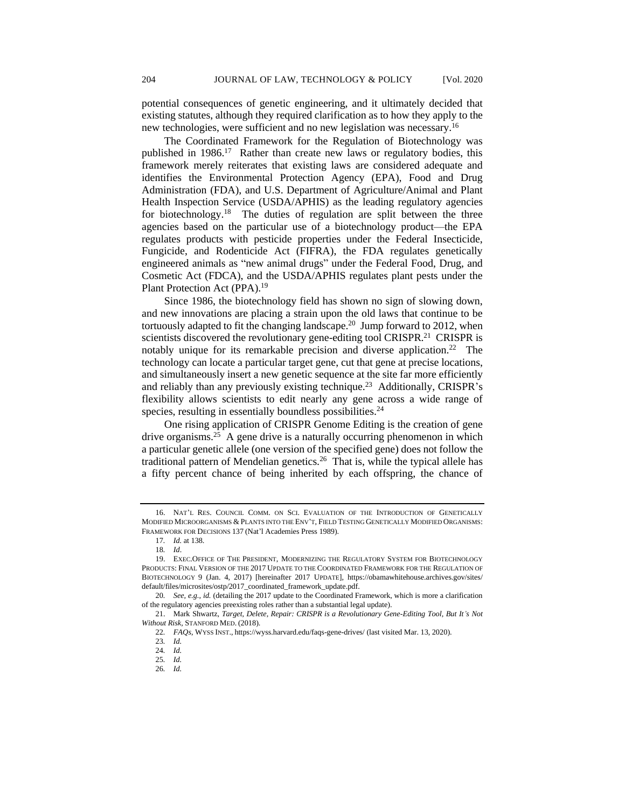potential consequences of genetic engineering, and it ultimately decided that existing statutes, although they required clarification as to how they apply to the new technologies, were sufficient and no new legislation was necessary.<sup>16</sup>

The Coordinated Framework for the Regulation of Biotechnology was published in 1986.<sup>17</sup> Rather than create new laws or regulatory bodies, this framework merely reiterates that existing laws are considered adequate and identifies the Environmental Protection Agency (EPA), Food and Drug Administration (FDA), and U.S. Department of Agriculture/Animal and Plant Health Inspection Service (USDA/APHIS) as the leading regulatory agencies for biotechnology.<sup>18</sup> The duties of regulation are split between the three agencies based on the particular use of a biotechnology product—the EPA regulates products with pesticide properties under the Federal Insecticide, Fungicide, and Rodenticide Act (FIFRA), the FDA regulates genetically engineered animals as "new animal drugs" under the Federal Food, Drug, and Cosmetic Act (FDCA), and the USDA/APHIS regulates plant pests under the Plant Protection Act (PPA).<sup>19</sup>

Since 1986, the biotechnology field has shown no sign of slowing down, and new innovations are placing a strain upon the old laws that continue to be tortuously adapted to fit the changing landscape.<sup>20</sup> Jump forward to 2012, when scientists discovered the revolutionary gene-editing tool CRISPR.<sup>21</sup> CRISPR is notably unique for its remarkable precision and diverse application.<sup>22</sup> The technology can locate a particular target gene, cut that gene at precise locations, and simultaneously insert a new genetic sequence at the site far more efficiently and reliably than any previously existing technique.<sup>23</sup> Additionally, CRISPR's flexibility allows scientists to edit nearly any gene across a wide range of species, resulting in essentially boundless possibilities.<sup>24</sup>

One rising application of CRISPR Genome Editing is the creation of gene drive organisms.<sup>25</sup> A gene drive is a naturally occurring phenomenon in which a particular genetic allele (one version of the specified gene) does not follow the traditional pattern of Mendelian genetics.<sup>26</sup> That is, while the typical allele has a fifty percent chance of being inherited by each offspring, the chance of

<sup>16.</sup> NAT'L RES. COUNCIL COMM. ON SCI. EVALUATION OF THE INTRODUCTION OF GENETICALLY MODIFIED MICROORGANISMS & PLANTS INTO THE ENV'T, FIELD TESTING GENETICALLY MODIFIED ORGANISMS: FRAMEWORK FOR DECISIONS 137 (Nat'l Academies Press 1989).

<sup>17</sup>*. Id.* at 138.

<sup>18</sup>*. Id*.

<sup>19.</sup> EXEC.OFFICE OF THE PRESIDENT, MODERNIZING THE REGULATORY SYSTEM FOR BIOTECHNOLOGY PRODUCTS: FINAL VERSION OF THE 2017 UPDATE TO THE COORDINATED FRAMEWORK FOR THE REGULATION OF BIOTECHNOLOGY 9 (Jan. 4, 2017) [hereinafter 2017 UPDATE], https://obamawhitehouse.archives.gov/sites/ default/files/microsites/ostp/2017\_coordinated\_framework\_update.pdf.

<sup>20</sup>*. See, e.g.*, *id.* (detailing the 2017 update to the Coordinated Framework, which is more a clarification of the regulatory agencies preexisting roles rather than a substantial legal update).

<sup>21.</sup> Mark Shwartz, *Target, Delete, Repair: CRISPR is a Revolutionary Gene-Editing Tool, But It's Not Without Risk,* STANFORD MED. (2018).

<sup>22</sup>*. FAQs*, WYSS INST., https://wyss.harvard.edu/faqs-gene-drives/ (last visited Mar. 13, 2020).

<sup>23</sup>*. Id.*

<sup>24</sup>*. Id.*

<sup>25</sup>*. Id.*

<sup>26</sup>*. Id.*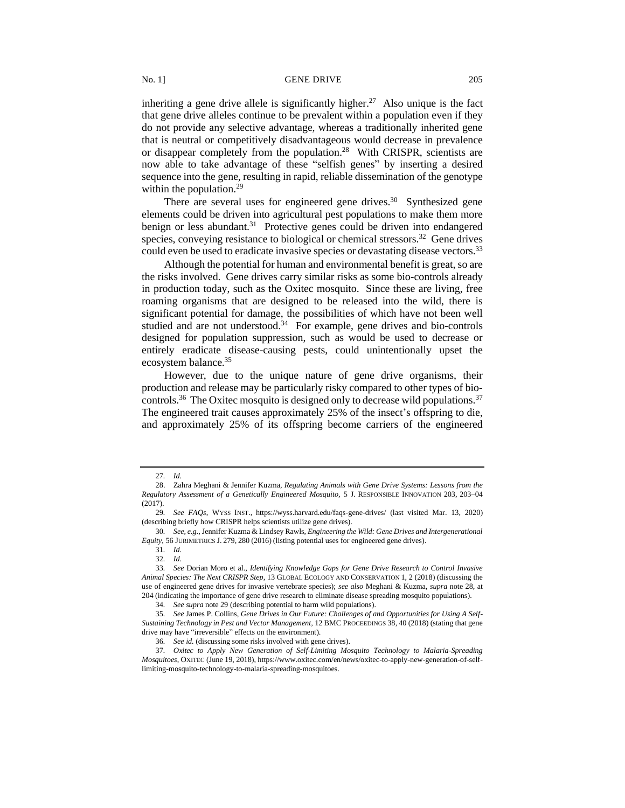inheriting a gene drive allele is significantly higher.<sup>27</sup> Also unique is the fact that gene drive alleles continue to be prevalent within a population even if they do not provide any selective advantage, whereas a traditionally inherited gene that is neutral or competitively disadvantageous would decrease in prevalence or disappear completely from the population.<sup>28</sup> With CRISPR, scientists are now able to take advantage of these "selfish genes" by inserting a desired sequence into the gene, resulting in rapid, reliable dissemination of the genotype within the population. $29$ 

There are several uses for engineered gene drives.<sup>30</sup> Synthesized gene elements could be driven into agricultural pest populations to make them more benign or less abundant.<sup>31</sup> Protective genes could be driven into endangered species, conveying resistance to biological or chemical stressors.<sup>32</sup> Gene drives could even be used to eradicate invasive species or devastating disease vectors.<sup>33</sup>

Although the potential for human and environmental benefit is great, so are the risks involved. Gene drives carry similar risks as some bio-controls already in production today, such as the Oxitec mosquito. Since these are living, free roaming organisms that are designed to be released into the wild, there is significant potential for damage, the possibilities of which have not been well studied and are not understood.<sup>34</sup> For example, gene drives and bio-controls designed for population suppression, such as would be used to decrease or entirely eradicate disease-causing pests, could unintentionally upset the ecosystem balance.<sup>35</sup>

However, due to the unique nature of gene drive organisms, their production and release may be particularly risky compared to other types of biocontrols.<sup>36</sup> The Oxitec mosquito is designed only to decrease wild populations.<sup>37</sup> The engineered trait causes approximately 25% of the insect's offspring to die, and approximately 25% of its offspring become carriers of the engineered

<sup>27</sup>*. Id.*

<sup>28.</sup> Zahra Meghani & Jennifer Kuzma, *Regulating Animals with Gene Drive Systems: Lessons from the Regulatory Assessment of a Genetically Engineered Mosquito,* 5 J. RESPONSIBLE INNOVATION 203, 203–04 (2017).

<sup>29</sup>*. See FAQs*, WYSS INST., https://wyss.harvard.edu/faqs-gene-drives/ (last visited Mar. 13, 2020) (describing briefly how CRISPR helps scientists utilize gene drives).

<sup>30</sup>*. See, e.g.*, Jennifer Kuzma & Lindsey Rawls, *Engineering the Wild: Gene Drives and Intergenerational Equity*, 56 JURIMETRICS J. 279, 280 (2016) (listing potential uses for engineered gene drives).

<sup>31</sup>*. Id.*

<sup>32</sup>*. Id.*

<sup>33</sup>*. See* Dorian Moro et al., *Identifying Knowledge Gaps for Gene Drive Research to Control Invasive Animal Species: The Next CRISPR Step*, 13 GLOBAL ECOLOGY AND CONSERVATION 1, 2 (2018) (discussing the use of engineered gene drives for invasive vertebrate species); *see also* Meghani & Kuzma, *supra* note 28, at 204 (indicating the importance of gene drive research to eliminate disease spreading mosquito populations).

<sup>34</sup>*. See supra* note 29 (describing potential to harm wild populations).

<sup>35</sup>*. See* James P. Collins, *Gene Drives in Our Future: Challenges of and Opportunities for Using A Self-Sustaining Technology in Pest and Vector Management,* 12 BMC PROCEEDINGS 38, 40 (2018) (stating that gene drive may have "irreversible" effects on the environment).

<sup>36</sup>*. See id.* (discussing some risks involved with gene drives)*.*

<sup>37</sup>*. Oxitec to Apply New Generation of Self-Limiting Mosquito Technology to Malaria-Spreading Mosquitoes*, OXITEC (June 19, 2018), https://www.oxitec.com/en/news/oxitec-to-apply-new-generation-of-selflimiting-mosquito-technology-to-malaria-spreading-mosquitoes.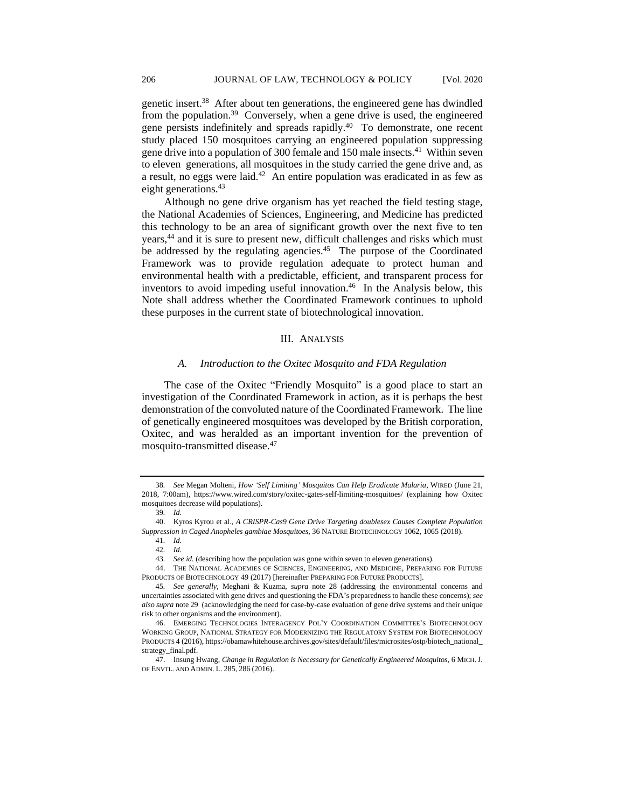genetic insert.<sup>38</sup> After about ten generations, the engineered gene has dwindled from the population.<sup>39</sup> Conversely, when a gene drive is used, the engineered gene persists indefinitely and spreads rapidly.<sup>40</sup> To demonstrate, one recent study placed 150 mosquitoes carrying an engineered population suppressing gene drive into a population of 300 female and 150 male insects.<sup>41</sup> Within seven to eleven generations, all mosquitoes in the study carried the gene drive and, as a result, no eggs were laid.<sup>42</sup> An entire population was eradicated in as few as eight generations.<sup>43</sup>

Although no gene drive organism has yet reached the field testing stage, the National Academies of Sciences, Engineering, and Medicine has predicted this technology to be an area of significant growth over the next five to ten years,<sup>44</sup> and it is sure to present new, difficult challenges and risks which must be addressed by the regulating agencies.<sup>45</sup> The purpose of the Coordinated Framework was to provide regulation adequate to protect human and environmental health with a predictable, efficient, and transparent process for inventors to avoid impeding useful innovation.<sup>46</sup> In the Analysis below, this Note shall address whether the Coordinated Framework continues to uphold these purposes in the current state of biotechnological innovation.

## III. ANALYSIS

#### *A. Introduction to the Oxitec Mosquito and FDA Regulation*

The case of the Oxitec "Friendly Mosquito" is a good place to start an investigation of the Coordinated Framework in action, as it is perhaps the best demonstration of the convoluted nature of the Coordinated Framework. The line of genetically engineered mosquitoes was developed by the British corporation, Oxitec, and was heralded as an important invention for the prevention of mosquito-transmitted disease.<sup>47</sup>

<sup>38</sup>*. See* Megan Molteni, *How 'Self Limiting' Mosquitos Can Help Eradicate Malaria*, WIRED (June 21, 2018, 7:00am), https://www.wired.com/story/oxitec-gates-self-limiting-mosquitoes/ (explaining how Oxitec mosquitoes decrease wild populations).

<sup>39</sup>*. Id.*

<sup>40.</sup> Kyros Kyrou et al., *A CRISPR-Cas9 Gene Drive Targeting doublesex Causes Complete Population Suppression in Caged Anopheles gambiae Mosquitoes,* 36 NATURE BIOTECHNOLOGY 1062, 1065 (2018).

<sup>41</sup>*. Id.*

<sup>42</sup>*. Id.*

<sup>43</sup>*. See id.* (describing how the population was gone within seven to eleven generations)*.*

<sup>44.</sup> THE NATIONAL ACADEMIES OF SCIENCES, ENGINEERING, AND MEDICINE, PREPARING FOR FUTURE PRODUCTS OF BIOTECHNOLOGY 49 (2017) [hereinafter PREPARING FOR FUTURE PRODUCTS].

<sup>45</sup>*. See generally,* Meghani & Kuzma, *supra* note 28 (addressing the environmental concerns and uncertainties associated with gene drives and questioning the FDA's preparedness to handle these concerns); *see also supra* note 29 (acknowledging the need for case-by-case evaluation of gene drive systems and their unique risk to other organisms and the environment).

<sup>46.</sup> EMERGING TECHNOLOGIES INTERAGENCY POL'Y COORDINATION COMMITTEE'S BIOTECHNOLOGY WORKING GROUP, NATIONAL STRATEGY FOR MODERNIZING THE REGULATORY SYSTEM FOR BIOTECHNOLOGY PRODUCTS 4 (2016), https://obamawhitehouse.archives.gov/sites/default/files/microsites/ostp/biotech\_national\_ strategy\_final.pdf.

<sup>47.</sup> Insung Hwang, *Change in Regulation is Necessary for Genetically Engineered Mosquitos,* 6 MICH.J. OF ENVTL. AND ADMIN. L. 285, 286 (2016).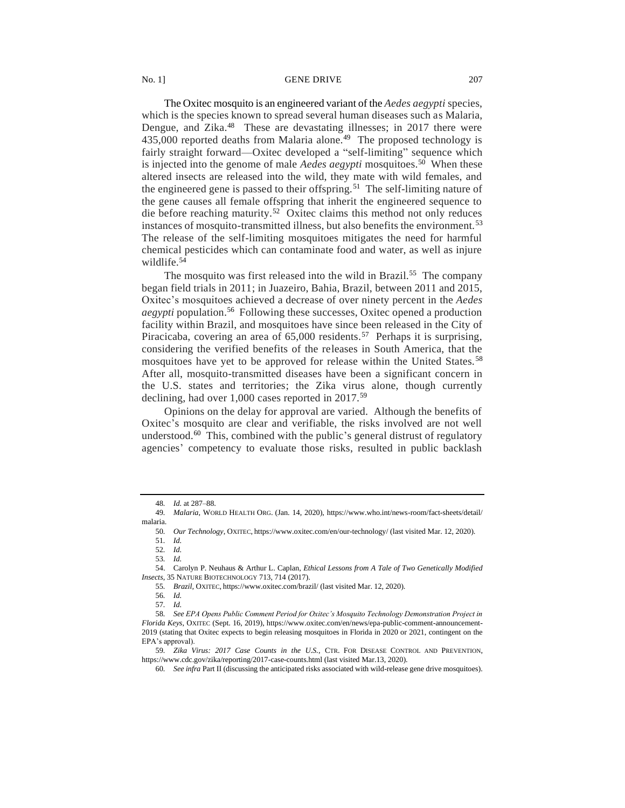The Oxitec mosquito is an engineered variant of the *Aedes aegypti* species, which is the species known to spread several human diseases such as Malaria, Dengue, and Zika.<sup>48</sup> These are devastating illnesses; in 2017 there were 435,000 reported deaths from Malaria alone.<sup>49</sup> The proposed technology is fairly straight forward—Oxitec developed a "self-limiting" sequence which is injected into the genome of male *Aedes aegypti* mosquitoes.<sup>50</sup> When these altered insects are released into the wild, they mate with wild females, and the engineered gene is passed to their offspring.<sup>51</sup> The self-limiting nature of the gene causes all female offspring that inherit the engineered sequence to die before reaching maturity.<sup>52</sup> Oxitec claims this method not only reduces instances of mosquito-transmitted illness, but also benefits the environment.<sup>53</sup> The release of the self-limiting mosquitoes mitigates the need for harmful chemical pesticides which can contaminate food and water, as well as injure wildlife.<sup>54</sup>

The mosquito was first released into the wild in Brazil.<sup>55</sup> The company began field trials in 2011; in Juazeiro, Bahia, Brazil, between 2011 and 2015, Oxitec's mosquitoes achieved a decrease of over ninety percent in the *Aedes aegypti* population. 56 Following these successes, Oxitec opened a production facility within Brazil, and mosquitoes have since been released in the City of Piracicaba, covering an area of 65,000 residents.<sup>57</sup> Perhaps it is surprising, considering the verified benefits of the releases in South America, that the mosquitoes have yet to be approved for release within the United States.<sup>58</sup> After all, mosquito-transmitted diseases have been a significant concern in the U.S. states and territories; the Zika virus alone, though currently declining, had over 1,000 cases reported in 2017.<sup>59</sup>

Opinions on the delay for approval are varied. Although the benefits of Oxitec's mosquito are clear and verifiable, the risks involved are not well understood.<sup>60</sup> This, combined with the public's general distrust of regulatory agencies' competency to evaluate those risks, resulted in public backlash

<sup>48</sup>*. Id.* at 287–88.

<sup>49</sup>*. Malaria*, WORLD HEALTH ORG. (Jan. 14, 2020), https://www.who.int/news-room/fact-sheets/detail/ malaria.

<sup>50</sup>*. Our Technology*, OXITEC, https://www.oxitec.com/en/our-technology/ (last visited Mar. 12, 2020).

<sup>51</sup>*. Id.*

<sup>52</sup>*. Id.*

<sup>53</sup>*. Id.*

<sup>54.</sup> Carolyn P. Neuhaus & Arthur L. Caplan, *Ethical Lessons from A Tale of Two Genetically Modified Insects*, 35 NATURE BIOTECHNOLOGY 713, 714 (2017).

<sup>55</sup>*. Brazil,* OXITEC, https://www.oxitec.com/brazil/ (last visited Mar. 12, 2020).

<sup>56</sup>*. Id.*

<sup>57</sup>*. Id.*

<sup>58</sup>*. See EPA Opens Public Comment Period for Oxitec's Mosquito Technology Demonstration Project in Florida Keys*, OXITEC (Sept. 16, 2019), https://www.oxitec.com/en/news/epa-public-comment-announcement-2019 (stating that Oxitec expects to begin releasing mosquitoes in Florida in 2020 or 2021, contingent on the EPA's approval).

<sup>59</sup>*. Zika Virus: 2017 Case Counts in the U.S.*, CTR. FOR DISEASE CONTROL AND PREVENTION, https://www.cdc.gov/zika/reporting/2017-case-counts.html (last visited Mar.13, 2020).

<sup>60</sup>*. See infra* Part II (discussing the anticipated risks associated with wild-release gene drive mosquitoes).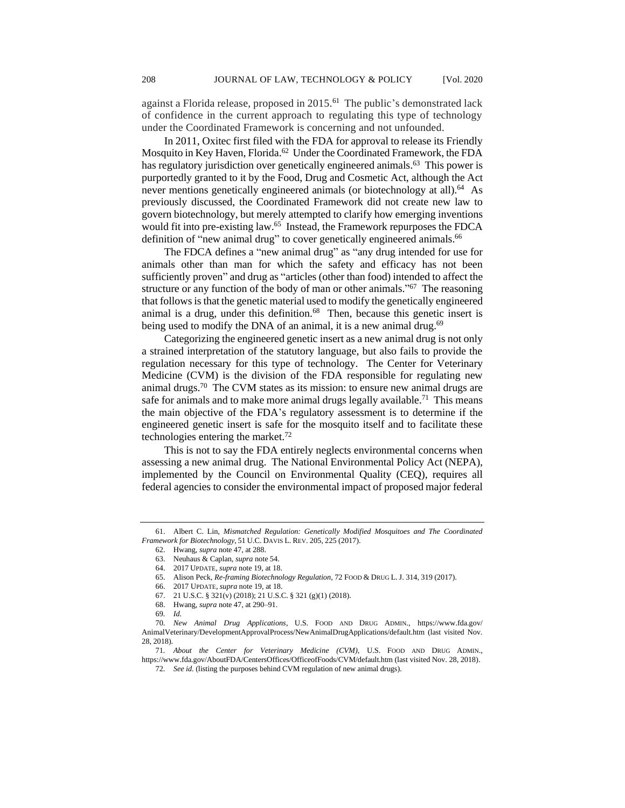against a Florida release, proposed in 2015.<sup>61</sup> The public's demonstrated lack of confidence in the current approach to regulating this type of technology under the Coordinated Framework is concerning and not unfounded.

In 2011, Oxitec first filed with the FDA for approval to release its Friendly Mosquito in Key Haven, Florida.<sup>62</sup> Under the Coordinated Framework, the FDA has regulatory jurisdiction over genetically engineered animals.<sup>63</sup> This power is purportedly granted to it by the Food, Drug and Cosmetic Act, although the Act never mentions genetically engineered animals (or biotechnology at all).<sup>64</sup> As previously discussed, the Coordinated Framework did not create new law to govern biotechnology, but merely attempted to clarify how emerging inventions would fit into pre-existing law.<sup>65</sup> Instead, the Framework repurposes the FDCA definition of "new animal drug" to cover genetically engineered animals.<sup>66</sup>

The FDCA defines a "new animal drug" as "any drug intended for use for animals other than man for which the safety and efficacy has not been sufficiently proven" and drug as "articles (other than food) intended to affect the structure or any function of the body of man or other animals."<sup>67</sup> The reasoning that follows is that the genetic material used to modify the genetically engineered animal is a drug, under this definition.<sup>68</sup> Then, because this genetic insert is being used to modify the DNA of an animal, it is a new animal drug.<sup>69</sup>

Categorizing the engineered genetic insert as a new animal drug is not only a strained interpretation of the statutory language, but also fails to provide the regulation necessary for this type of technology. The Center for Veterinary Medicine (CVM) is the division of the FDA responsible for regulating new animal drugs.<sup>70</sup> The CVM states as its mission: to ensure new animal drugs are safe for animals and to make more animal drugs legally available.<sup>71</sup> This means the main objective of the FDA's regulatory assessment is to determine if the engineered genetic insert is safe for the mosquito itself and to facilitate these technologies entering the market.<sup>72</sup>

This is not to say the FDA entirely neglects environmental concerns when assessing a new animal drug. The National Environmental Policy Act (NEPA), implemented by the Council on Environmental Quality (CEQ), requires all federal agencies to consider the environmental impact of proposed major federal

<sup>61.</sup> Albert C. Lin, *Mismatched Regulation: Genetically Modified Mosquitoes and The Coordinated Framework for Biotechnology,* 51 U.C. DAVIS L. REV. 205, 225 (2017).

<sup>62.</sup> Hwang, *supra* note 47, at 288.

<sup>63.</sup> Neuhaus & Caplan, *supra* note 54.

<sup>64.</sup> 2017 UPDATE*, supra* note 19, at 18.

<sup>65.</sup> Alison Peck, *Re-framing Biotechnology Regulation*, 72 FOOD & DRUG L.J. 314, 319 (2017).

<sup>66.</sup> 2017 UPDATE, *supra* note 19, at 18.

<sup>67.</sup> 21 U.S.C. § 321(v) (2018); 21 U.S.C. § 321 (g)(1) (2018).

<sup>68.</sup> Hwang, *supra* note 47, at 290–91.

<sup>69</sup>*. Id.*

<sup>70</sup>*. New Animal Drug Applications*, U.S. FOOD AND DRUG ADMIN., https://www.fda.gov/ AnimalVeterinary/DevelopmentApprovalProcess/NewAnimalDrugApplications/default.htm (last visited Nov. 28, 2018).

<sup>71</sup>*. About the Center for Veterinary Medicine (CVM)*, U.S. FOOD AND DRUG ADMIN., https://www.fda.gov/AboutFDA/CentersOffices/OfficeofFoods/CVM/default.htm (last visited Nov. 28, 2018).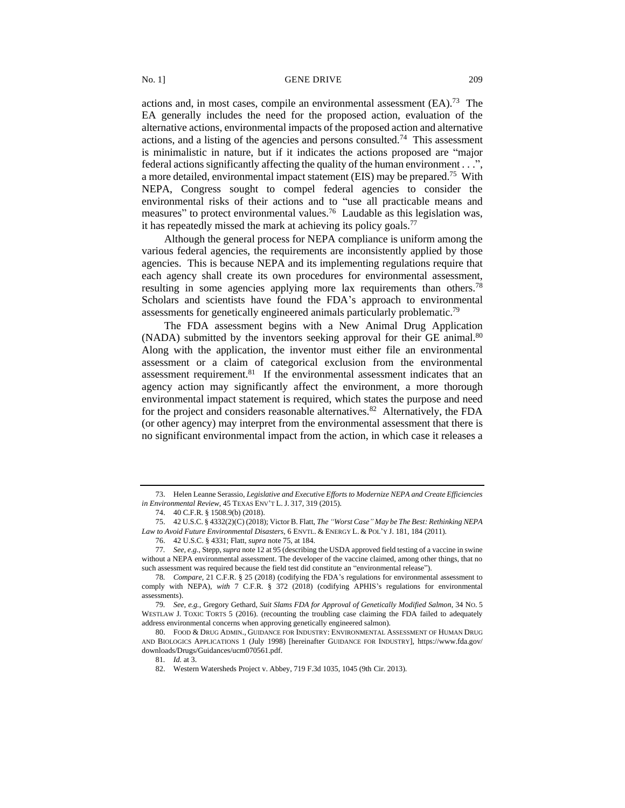actions and, in most cases, compile an environmental assessment (EA).<sup>73</sup> The EA generally includes the need for the proposed action, evaluation of the alternative actions, environmental impacts of the proposed action and alternative actions, and a listing of the agencies and persons consulted.<sup>74</sup> This assessment is minimalistic in nature, but if it indicates the actions proposed are "major federal actions significantly affecting the quality of the human environment . . .", a more detailed, environmental impact statement (EIS) may be prepared.<sup>75</sup> With NEPA, Congress sought to compel federal agencies to consider the environmental risks of their actions and to "use all practicable means and measures" to protect environmental values.<sup>76</sup> Laudable as this legislation was, it has repeatedly missed the mark at achieving its policy goals.<sup>77</sup>

Although the general process for NEPA compliance is uniform among the various federal agencies, the requirements are inconsistently applied by those agencies. This is because NEPA and its implementing regulations require that each agency shall create its own procedures for environmental assessment, resulting in some agencies applying more lax requirements than others.<sup>78</sup> Scholars and scientists have found the FDA's approach to environmental assessments for genetically engineered animals particularly problematic.<sup>79</sup>

The FDA assessment begins with a New Animal Drug Application (NADA) submitted by the inventors seeking approval for their GE animal.<sup>80</sup> Along with the application, the inventor must either file an environmental assessment or a claim of categorical exclusion from the environmental assessment requirement.<sup>81</sup> If the environmental assessment indicates that an agency action may significantly affect the environment, a more thorough environmental impact statement is required, which states the purpose and need for the project and considers reasonable alternatives.<sup>82</sup> Alternatively, the FDA (or other agency) may interpret from the environmental assessment that there is no significant environmental impact from the action, in which case it releases a

<sup>73.</sup> Helen Leanne Serassio, *Legislative and Executive Efforts to Modernize NEPA and Create Efficiencies in Environmental Review*, 45 TEXAS ENV'T L.J. 317, 319 (2015).

<sup>74.</sup> 40 C.F.R. § 1508.9(b) (2018).

<sup>75.</sup> 42 U.S.C. § 4332(2)(C) (2018); Victor B. Flatt, *The "Worst Case" May be The Best: Rethinking NEPA Law to Avoid Future Environmental Disasters,* 6 ENVTL. & ENERGY L. & POL'Y J. 181, 184 (2011).

<sup>76.</sup> 42 U.S.C. § 4331; Flatt, *supra* note 75, at 184.

<sup>77</sup>*. See, e.g.*, Stepp, *supra* note 12 at 95 (describing the USDA approved field testing of a vaccine in swine without a NEPA environmental assessment. The developer of the vaccine claimed, among other things, that no such assessment was required because the field test did constitute an "environmental release").

<sup>78</sup>*. Compare,* 21 C.F.R. § 25 (2018) (codifying the FDA's regulations for environmental assessment to comply with NEPA), *with* 7 C.F.R. § 372 (2018) (codifying APHIS's regulations for environmental assessments).

<sup>79</sup>*. See, e.g.*, Gregory Gethard, *Suit Slams FDA for Approval of Genetically Modified Salmon*, 34 NO. 5 WESTLAW J. TOXIC TORTS 5 (2016). (recounting the troubling case claiming the FDA failed to adequately address environmental concerns when approving genetically engineered salmon).

<sup>80.</sup> FOOD & DRUG ADMIN., GUIDANCE FOR INDUSTRY: ENVIRONMENTAL ASSESSMENT OF HUMAN DRUG AND BIOLOGICS APPLICATIONS 1 (July 1998) [hereinafter GUIDANCE FOR INDUSTRY], https://www.fda.gov/ downloads/Drugs/Guidances/ucm070561.pdf.

<sup>81</sup>*. Id.* at 3.

<sup>82.</sup> Western Watersheds Project v. Abbey, 719 F.3d 1035, 1045 (9th Cir. 2013).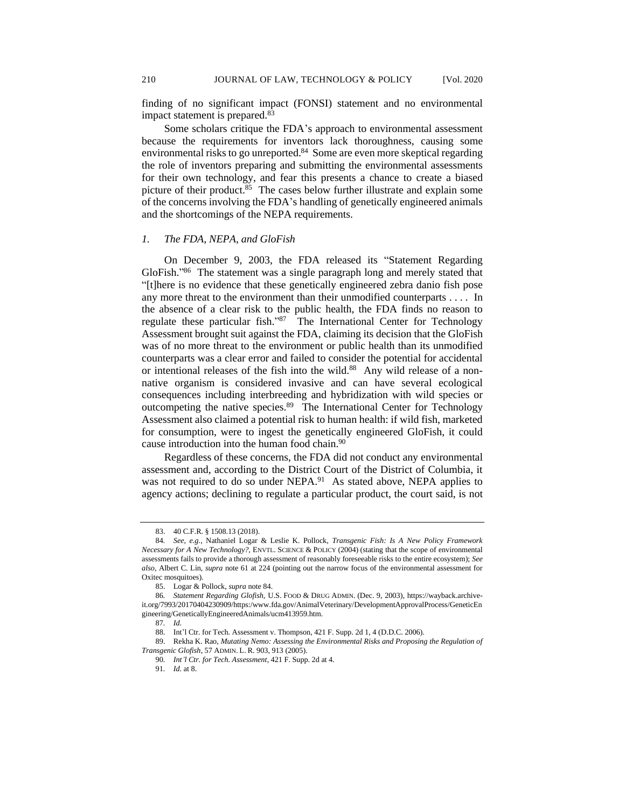finding of no significant impact (FONSI) statement and no environmental impact statement is prepared.<sup>83</sup>

Some scholars critique the FDA's approach to environmental assessment because the requirements for inventors lack thoroughness, causing some environmental risks to go unreported.<sup>84</sup> Some are even more skeptical regarding the role of inventors preparing and submitting the environmental assessments for their own technology, and fear this presents a chance to create a biased picture of their product.<sup>85</sup> The cases below further illustrate and explain some of the concerns involving the FDA's handling of genetically engineered animals and the shortcomings of the NEPA requirements.

### *1. The FDA, NEPA, and GloFish*

On December 9, 2003, the FDA released its "Statement Regarding GloFish."<sup>86</sup> The statement was a single paragraph long and merely stated that "[t]here is no evidence that these genetically engineered zebra danio fish pose any more threat to the environment than their unmodified counterparts . . . . In the absence of a clear risk to the public health, the FDA finds no reason to regulate these particular fish."<sup>87</sup> The International Center for Technology Assessment brought suit against the FDA, claiming its decision that the GloFish was of no more threat to the environment or public health than its unmodified counterparts was a clear error and failed to consider the potential for accidental or intentional releases of the fish into the wild.<sup>88</sup> Any wild release of a nonnative organism is considered invasive and can have several ecological consequences including interbreeding and hybridization with wild species or outcompeting the native species.<sup>89</sup> The International Center for Technology Assessment also claimed a potential risk to human health: if wild fish, marketed for consumption, were to ingest the genetically engineered GloFish, it could cause introduction into the human food chain.<sup>90</sup>

Regardless of these concerns, the FDA did not conduct any environmental assessment and, according to the District Court of the District of Columbia, it was not required to do so under NEPA.<sup>91</sup> As stated above, NEPA applies to agency actions; declining to regulate a particular product, the court said, is not

<sup>83.</sup> 40 C.F.R. § 1508.13 (2018).

<sup>84</sup>*. See, e.g.*, Nathaniel Logar & Leslie K. Pollock, *Transgenic Fish: Is A New Policy Framework Necessary for A New Technology?,* ENVTL. SCIENCE & POLICY (2004) (stating that the scope of environmental assessments fails to provide a thorough assessment of reasonably foreseeable risks to the entire ecosystem); *See also,* Albert C. Lin, *supra* note 61 at 224 (pointing out the narrow focus of the environmental assessment for Oxitec mosquitoes).

<sup>85.</sup> Logar & Pollock, *supra* note 84.

<sup>86</sup>*. Statement Regarding Glofish,* U.S. FOOD & DRUG ADMIN. (Dec. 9, 2003), https://wayback.archiveit.org/7993/20170404230909/https:/www.fda.gov/AnimalVeterinary/DevelopmentApprovalProcess/GeneticEn gineering/GeneticallyEngineeredAnimals/ucm413959.htm.

<sup>87</sup>*. Id.*

<sup>88.</sup> Int'l Ctr. for Tech. Assessment v. Thompson, 421 F. Supp. 2d 1, 4 (D.D.C. 2006).

<sup>89.</sup> Rekha K. Rao, *Mutating Nemo: Assessing the Environmental Risks and Proposing the Regulation of Transgenic Glofish*, 57 ADMIN. L. R. 903, 913 (2005).

<sup>90</sup>*. Int'l Ctr. for Tech. Assessment*, 421 F. Supp. 2d at 4.

<sup>91</sup>*. Id.* at 8.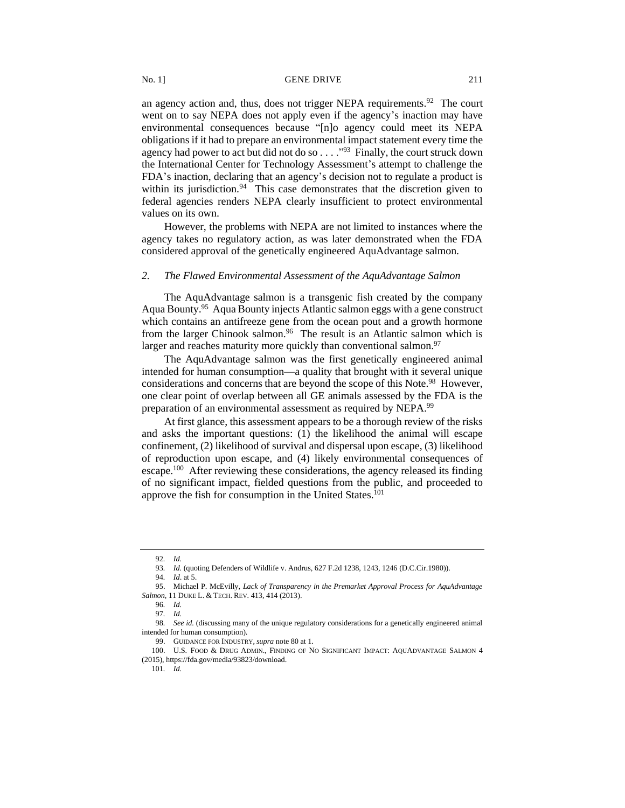an agency action and, thus, does not trigger NEPA requirements.<sup>92</sup> The court went on to say NEPA does not apply even if the agency's inaction may have environmental consequences because "[n]o agency could meet its NEPA obligations if it had to prepare an environmental impact statement every time the agency had power to act but did not do so  $\ldots$   $\cdot$   $\cdot$  Finally, the court struck down the International Center for Technology Assessment's attempt to challenge the FDA's inaction, declaring that an agency's decision not to regulate a product is within its jurisdiction.<sup>94</sup> This case demonstrates that the discretion given to federal agencies renders NEPA clearly insufficient to protect environmental values on its own.

However, the problems with NEPA are not limited to instances where the agency takes no regulatory action, as was later demonstrated when the FDA considered approval of the genetically engineered AquAdvantage salmon.

## *2. The Flawed Environmental Assessment of the AquAdvantage Salmon*

The AquAdvantage salmon is a transgenic fish created by the company Aqua Bounty.<sup>95</sup> Aqua Bounty injects Atlantic salmon eggs with a gene construct which contains an antifreeze gene from the ocean pout and a growth hormone from the larger Chinook salmon.<sup>96</sup> The result is an Atlantic salmon which is larger and reaches maturity more quickly than conventional salmon. $97$ 

The AquAdvantage salmon was the first genetically engineered animal intended for human consumption—a quality that brought with it several unique considerations and concerns that are beyond the scope of this Note.<sup>98</sup> However, one clear point of overlap between all GE animals assessed by the FDA is the preparation of an environmental assessment as required by NEPA.<sup>99</sup>

At first glance, this assessment appears to be a thorough review of the risks and asks the important questions: (1) the likelihood the animal will escape confinement, (2) likelihood of survival and dispersal upon escape, (3) likelihood of reproduction upon escape, and (4) likely environmental consequences of escape.<sup>100</sup> After reviewing these considerations, the agency released its finding of no significant impact, fielded questions from the public, and proceeded to approve the fish for consumption in the United States.<sup>101</sup>

<sup>92</sup>*. Id.*

<sup>93</sup>*. Id.* (quoting Defenders of Wildlife v. Andrus*,* 627 F.2d 1238, 1243, 1246 (D.C.Cir.1980)).

<sup>94</sup>*. Id*. at 5.

<sup>95.</sup> Michael P. McEvilly, *Lack of Transparency in the Premarket Approval Process for AquAdvantage Salmon*, 11 DUKE L. & TECH. REV. 413, 414 (2013).

<sup>96</sup>*. Id.*

<sup>97</sup>*. Id.*

<sup>98</sup>*. See id.* (discussing many of the unique regulatory considerations for a genetically engineered animal intended for human consumption).

<sup>99.</sup> GUIDANCE FOR INDUSTRY,*supra* note 80 at 1.

<sup>100.</sup> U.S. FOOD & DRUG ADMIN., FINDING OF NO SIGNIFICANT IMPACT: AQUADVANTAGE SALMON 4 (2015), https://fda.gov/media/93823/download.

<sup>101</sup>*. Id.*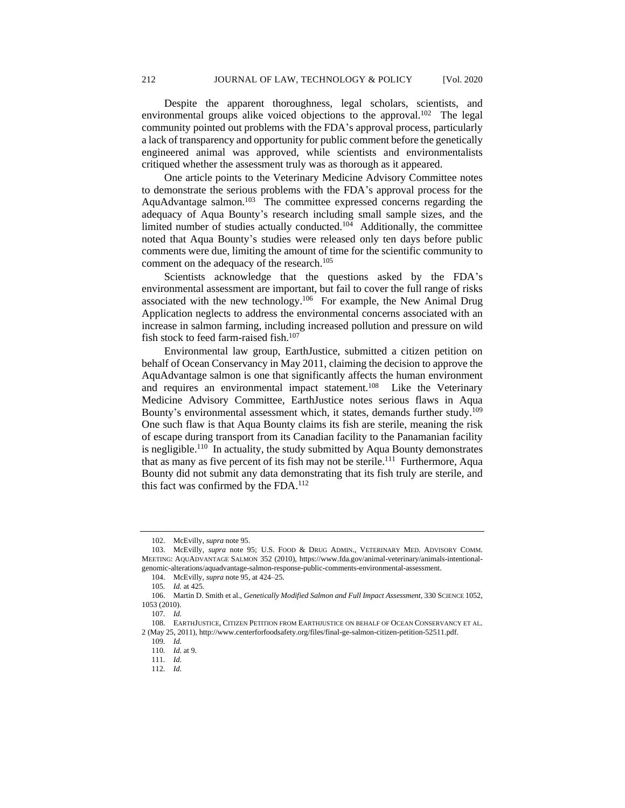Despite the apparent thoroughness, legal scholars, scientists, and environmental groups alike voiced objections to the approval.<sup>102</sup> The legal community pointed out problems with the FDA's approval process, particularly a lack of transparency and opportunity for public comment before the genetically engineered animal was approved, while scientists and environmentalists critiqued whether the assessment truly was as thorough as it appeared.

One article points to the Veterinary Medicine Advisory Committee notes to demonstrate the serious problems with the FDA's approval process for the AquAdvantage salmon.<sup>103</sup> The committee expressed concerns regarding the adequacy of Aqua Bounty's research including small sample sizes, and the limited number of studies actually conducted.<sup>104</sup> Additionally, the committee noted that Aqua Bounty's studies were released only ten days before public comments were due, limiting the amount of time for the scientific community to comment on the adequacy of the research.<sup>105</sup>

Scientists acknowledge that the questions asked by the FDA's environmental assessment are important, but fail to cover the full range of risks associated with the new technology.<sup>106</sup> For example, the New Animal Drug Application neglects to address the environmental concerns associated with an increase in salmon farming, including increased pollution and pressure on wild fish stock to feed farm-raised fish.<sup>107</sup>

Environmental law group, EarthJustice, submitted a citizen petition on behalf of Ocean Conservancy in May 2011, claiming the decision to approve the AquAdvantage salmon is one that significantly affects the human environment and requires an environmental impact statement.<sup>108</sup> Like the Veterinary Medicine Advisory Committee, EarthJustice notes serious flaws in Aqua Bounty's environmental assessment which, it states, demands further study.<sup>109</sup> One such flaw is that Aqua Bounty claims its fish are sterile, meaning the risk of escape during transport from its Canadian facility to the Panamanian facility is negligible.<sup>110</sup> In actuality, the study submitted by Aqua Bounty demonstrates that as many as five percent of its fish may not be sterile.<sup>111</sup> Furthermore, Aqua Bounty did not submit any data demonstrating that its fish truly are sterile, and this fact was confirmed by the FDA.<sup>112</sup>

<sup>102.</sup> McEvilly, *supra* note 95.

<sup>103.</sup> McEvilly, *supra* note 95; U.S. FOOD & DRUG ADMIN., VETERINARY MED. ADVISORY COMM. MEETING: AQUADVANTAGE SALMON 352 (2010), https://www.fda.gov/animal-veterinary/animals-intentionalgenomic-alterations/aquadvantage-salmon-response-public-comments-environmental-assessment.

<sup>104.</sup> McEvilly, *supra* note 95, at 424–25.

<sup>105</sup>*. Id.* at 425.

<sup>106.</sup> Martin D. Smith et al., *Genetically Modified Salmon and Full Impact Assessment*, 330 SCIENCE 1052, 1053 (2010).

<sup>107</sup>*. Id.*

<sup>108.</sup> EARTHJUSTICE, CITIZEN PETITION FROM EARTHJUSTICE ON BEHALF OF OCEAN CONSERVANCY ET AL. 2 (May 25, 2011), http://www.centerforfoodsafety.org/files/final-ge-salmon-citizen-petition-52511.pdf.

<sup>109</sup>*. Id.*

<sup>110</sup>*. Id.* at 9*.*

<sup>111</sup>*. Id.*

<sup>112</sup>*. Id.*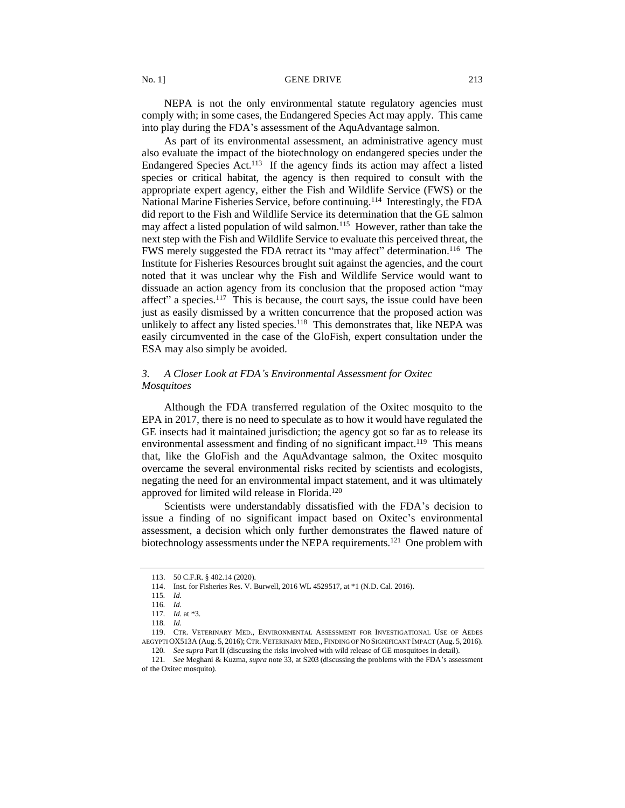NEPA is not the only environmental statute regulatory agencies must comply with; in some cases, the Endangered Species Act may apply. This came into play during the FDA's assessment of the AquAdvantage salmon.

As part of its environmental assessment, an administrative agency must also evaluate the impact of the biotechnology on endangered species under the Endangered Species  $Act.$ <sup>113</sup> If the agency finds its action may affect a listed species or critical habitat, the agency is then required to consult with the appropriate expert agency, either the Fish and Wildlife Service (FWS) or the National Marine Fisheries Service, before continuing.<sup>114</sup> Interestingly, the FDA did report to the Fish and Wildlife Service its determination that the GE salmon may affect a listed population of wild salmon.<sup>115</sup> However, rather than take the next step with the Fish and Wildlife Service to evaluate this perceived threat, the FWS merely suggested the FDA retract its "may affect" determination.<sup>116</sup> The Institute for Fisheries Resources brought suit against the agencies, and the court noted that it was unclear why the Fish and Wildlife Service would want to dissuade an action agency from its conclusion that the proposed action "may affect" a species.<sup>117</sup> This is because, the court says, the issue could have been just as easily dismissed by a written concurrence that the proposed action was unlikely to affect any listed species. $118$  This demonstrates that, like NEPA was easily circumvented in the case of the GloFish, expert consultation under the ESA may also simply be avoided.

## *3. A Closer Look at FDA's Environmental Assessment for Oxitec Mosquitoes*

Although the FDA transferred regulation of the Oxitec mosquito to the EPA in 2017, there is no need to speculate as to how it would have regulated the GE insects had it maintained jurisdiction; the agency got so far as to release its environmental assessment and finding of no significant impact.<sup>119</sup> This means that, like the GloFish and the AquAdvantage salmon, the Oxitec mosquito overcame the several environmental risks recited by scientists and ecologists, negating the need for an environmental impact statement, and it was ultimately approved for limited wild release in Florida.<sup>120</sup>

Scientists were understandably dissatisfied with the FDA's decision to issue a finding of no significant impact based on Oxitec's environmental assessment, a decision which only further demonstrates the flawed nature of biotechnology assessments under the NEPA requirements.<sup>121</sup> One problem with

<sup>113.</sup> 50 C.F.R. § 402.14 (2020).

<sup>114.</sup> Inst. for Fisheries Res. V. Burwell, 2016 WL 4529517, at \*1 (N.D. Cal. 2016).

<sup>115</sup>*. Id.*

<sup>116</sup>*. Id.*

<sup>117</sup>*. Id.* at \*3.

<sup>118</sup>*. Id.*

<sup>119.</sup> CTR. VETERINARY MED., ENVIRONMENTAL ASSESSMENT FOR INVESTIGATIONAL USE OF AEDES AEGYPTI OX513A (Aug. 5, 2016); CTR. VETERINARY MED., FINDING OF NO SIGNIFICANT IMPACT (Aug. 5, 2016). 120*. See supra* Part II (discussing the risks involved with wild release of GE mosquitoes in detail).

<sup>121</sup>*. See* Meghani & Kuzma, *supra* note 33, at S203 (discussing the problems with the FDA's assessment of the Oxitec mosquito).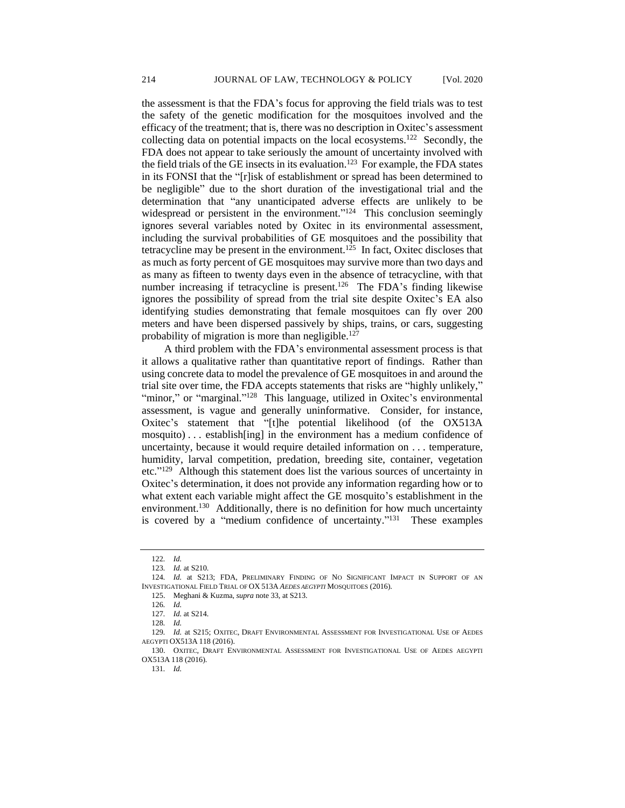the assessment is that the FDA's focus for approving the field trials was to test the safety of the genetic modification for the mosquitoes involved and the efficacy of the treatment; that is, there was no description in Oxitec's assessment collecting data on potential impacts on the local ecosystems.<sup>122</sup> Secondly, the FDA does not appear to take seriously the amount of uncertainty involved with the field trials of the GE insects in its evaluation.<sup>123</sup> For example, the FDA states in its FONSI that the "[r]isk of establishment or spread has been determined to be negligible" due to the short duration of the investigational trial and the determination that "any unanticipated adverse effects are unlikely to be widespread or persistent in the environment."<sup>124</sup> This conclusion seemingly ignores several variables noted by Oxitec in its environmental assessment, including the survival probabilities of GE mosquitoes and the possibility that tetracycline may be present in the environment.<sup>125</sup> In fact, Oxitec discloses that as much as forty percent of GE mosquitoes may survive more than two days and as many as fifteen to twenty days even in the absence of tetracycline, with that number increasing if tetracycline is present.<sup>126</sup> The FDA's finding likewise ignores the possibility of spread from the trial site despite Oxitec's EA also identifying studies demonstrating that female mosquitoes can fly over 200 meters and have been dispersed passively by ships, trains, or cars, suggesting probability of migration is more than negligible.<sup>127</sup>

A third problem with the FDA's environmental assessment process is that it allows a qualitative rather than quantitative report of findings. Rather than using concrete data to model the prevalence of GE mosquitoes in and around the trial site over time, the FDA accepts statements that risks are "highly unlikely," "minor," or "marginal."<sup>128</sup> This language, utilized in Oxitec's environmental assessment, is vague and generally uninformative. Consider, for instance, Oxitec's statement that "[t]he potential likelihood (of the OX513A mosquito) . . . establish[ing] in the environment has a medium confidence of uncertainty, because it would require detailed information on . . . temperature, humidity, larval competition, predation, breeding site, container, vegetation etc."<sup>129</sup> Although this statement does list the various sources of uncertainty in Oxitec's determination, it does not provide any information regarding how or to what extent each variable might affect the GE mosquito's establishment in the environment.<sup>130</sup> Additionally, there is no definition for how much uncertainty is covered by a "medium confidence of uncertainty."<sup>131</sup> These examples

<sup>122</sup>*. Id.*

<sup>123</sup>*. Id.* at S210.

<sup>124</sup>*. Id.* at S213; FDA, PRELIMINARY FINDING OF NO SIGNIFICANT IMPACT IN SUPPORT OF AN INVESTIGATIONAL FIELD TRIAL OF OX 513A *AEDES AEGYPTI* MOSQUITOES (2016).

<sup>125.</sup> Meghani & Kuzma, *supra* note 33, at S213.

<sup>126</sup>*. Id.*

<sup>127</sup>*. Id.* at S214.

<sup>128</sup>*. Id.*

<sup>129</sup>*. Id.* at S215; OXITEC, DRAFT ENVIRONMENTAL ASSESSMENT FOR INVESTIGATIONAL USE OF AEDES AEGYPTI OX513A 118 (2016).

<sup>130.</sup> OXITEC, DRAFT ENVIRONMENTAL ASSESSMENT FOR INVESTIGATIONAL USE OF AEDES AEGYPTI OX513A 118 (2016).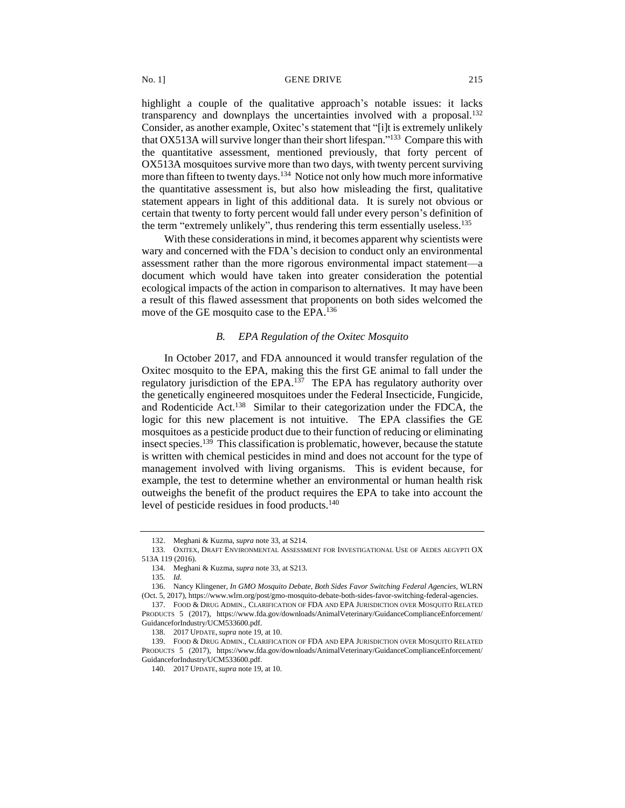highlight a couple of the qualitative approach's notable issues: it lacks transparency and downplays the uncertainties involved with a proposal.<sup>132</sup> Consider, as another example, Oxitec's statement that "[i]t is extremely unlikely that OX513A will survive longer than their short lifespan."<sup>133</sup> Compare this with the quantitative assessment, mentioned previously, that forty percent of OX513A mosquitoes survive more than two days, with twenty percent surviving more than fifteen to twenty days.<sup>134</sup> Notice not only how much more informative the quantitative assessment is, but also how misleading the first, qualitative statement appears in light of this additional data. It is surely not obvious or certain that twenty to forty percent would fall under every person's definition of the term "extremely unlikely", thus rendering this term essentially useless.<sup>135</sup>

With these considerations in mind, it becomes apparent why scientists were wary and concerned with the FDA's decision to conduct only an environmental assessment rather than the more rigorous environmental impact statement—a document which would have taken into greater consideration the potential ecological impacts of the action in comparison to alternatives. It may have been a result of this flawed assessment that proponents on both sides welcomed the move of the GE mosquito case to the EPA.<sup>136</sup>

## *B. EPA Regulation of the Oxitec Mosquito*

In October 2017, and FDA announced it would transfer regulation of the Oxitec mosquito to the EPA, making this the first GE animal to fall under the regulatory jurisdiction of the EPA.<sup>137</sup> The EPA has regulatory authority over the genetically engineered mosquitoes under the Federal Insecticide, Fungicide, and Rodenticide Act.<sup>138</sup> Similar to their categorization under the FDCA, the logic for this new placement is not intuitive. The EPA classifies the GE mosquitoes as a pesticide product due to their function of reducing or eliminating insect species.<sup>139</sup> This classification is problematic, however, because the statute is written with chemical pesticides in mind and does not account for the type of management involved with living organisms. This is evident because, for example, the test to determine whether an environmental or human health risk outweighs the benefit of the product requires the EPA to take into account the level of pesticide residues in food products.<sup>140</sup>

<sup>132.</sup> Meghani & Kuzma, *supra* note 33, at S214.

<sup>133.</sup> OXITEX, DRAFT ENVIRONMENTAL ASSESSMENT FOR INVESTIGATIONAL USE OF AEDES AEGYPTI OX 513A 119 (2016).

<sup>134.</sup> Meghani & Kuzma, *supra* note 33, at S213.

<sup>135</sup>*. Id.*

<sup>136.</sup> Nancy Klingener, *In GMO Mosquito Debate, Both Sides Favor Switching Federal Agencies,* WLRN (Oct. 5, 2017), https://www.wlrn.org/post/gmo-mosquito-debate-both-sides-favor-switching-federal-agencies.

<sup>137.</sup> FOOD & DRUG ADMIN., CLARIFICATION OF FDA AND EPA JURISDICTION OVER MOSQUITO RELATED PRODUCTS 5 (2017), https://www.fda.gov/downloads/AnimalVeterinary/GuidanceComplianceEnforcement/ GuidanceforIndustry/UCM533600.pdf.

<sup>138.</sup> 2017 UPDATE,*supra* note 19, at 10.

<sup>139.</sup> FOOD & DRUG ADMIN., CLARIFICATION OF FDA AND EPA JURISDICTION OVER MOSQUITO RELATED PRODUCTS 5 (2017), https://www.fda.gov/downloads/AnimalVeterinary/GuidanceComplianceEnforcement/ GuidanceforIndustry/UCM533600.pdf.

<sup>140.</sup> 2017 UPDATE,*supra* note 19, at 10.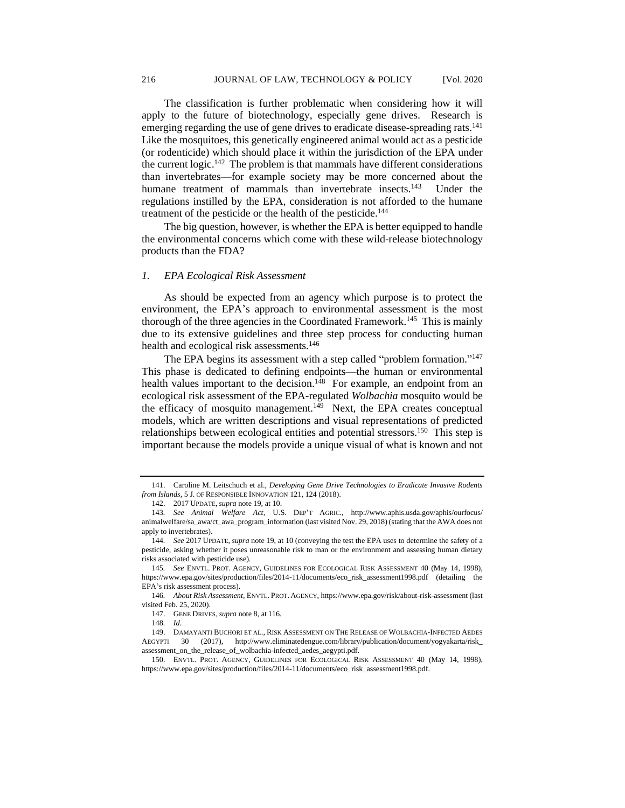The classification is further problematic when considering how it will apply to the future of biotechnology, especially gene drives. Research is emerging regarding the use of gene drives to eradicate disease-spreading rats.<sup>141</sup> Like the mosquitoes, this genetically engineered animal would act as a pesticide (or rodenticide) which should place it within the jurisdiction of the EPA under the current logic.<sup>142</sup> The problem is that mammals have different considerations than invertebrates—for example society may be more concerned about the humane treatment of mammals than invertebrate insects.<sup>143</sup> Under the regulations instilled by the EPA, consideration is not afforded to the humane treatment of the pesticide or the health of the pesticide.<sup>144</sup>

The big question, however, is whether the EPA is better equipped to handle the environmental concerns which come with these wild-release biotechnology products than the FDA?

## *1. EPA Ecological Risk Assessment*

As should be expected from an agency which purpose is to protect the environment, the EPA's approach to environmental assessment is the most thorough of the three agencies in the Coordinated Framework.<sup>145</sup> This is mainly due to its extensive guidelines and three step process for conducting human health and ecological risk assessments.<sup>146</sup>

The EPA begins its assessment with a step called "problem formation."<sup>147</sup> This phase is dedicated to defining endpoints—the human or environmental health values important to the decision.<sup>148</sup> For example, an endpoint from an ecological risk assessment of the EPA-regulated *Wolbachia* mosquito would be the efficacy of mosquito management.<sup>149</sup> Next, the EPA creates conceptual models, which are written descriptions and visual representations of predicted relationships between ecological entities and potential stressors.<sup>150</sup> This step is important because the models provide a unique visual of what is known and not

<sup>141.</sup> Caroline M. Leitschuch et al., *Developing Gene Drive Technologies to Eradicate Invasive Rodents from Islands*, 5 J. OF RESPONSIBLE INNOVATION 121, 124 (2018).

<sup>142.</sup> 2017 UPDATE,*supra* note 19, at 10.

<sup>143</sup>*. See Animal Welfare Act,* U.S. DEP'T AGRIC., http://www.aphis.usda.gov/aphis/ourfocus/ animalwelfare/sa\_awa/ct\_awa\_program\_information (last visited Nov. 29, 2018) (stating that the AWA does not apply to invertebrates).

<sup>144</sup>*. See* 2017 UPDATE, *supra* note 19, at 10 (conveying the test the EPA uses to determine the safety of a pesticide, asking whether it poses unreasonable risk to man or the environment and assessing human dietary risks associated with pesticide use).

<sup>145</sup>*. See* ENVTL. PROT. AGENCY, GUIDELINES FOR ECOLOGICAL RISK ASSESSMENT 40 (May 14, 1998), https://www.epa.gov/sites/production/files/2014-11/documents/eco\_risk\_assessment1998.pdf (detailing the EPA's risk assessment process).

<sup>146</sup>*. About Risk Assessment,* ENVTL. PROT. AGENCY, https://www.epa.gov/risk/about-risk-assessment (last visited Feb. 25, 2020).

<sup>147.</sup> GENE DRIVES,*supra* note 8, at 116.

<sup>148</sup>*. Id.*

<sup>149.</sup> DAMAYANTI BUCHORI ET AL., RISK ASSESSMENT ON THE RELEASE OF WOLBACHIA-INFECTED AEDES AEGYPTI 30 (2017), http://www.eliminatedengue.com/library/publication/document/yogyakarta/risk\_ assessment\_on\_the\_release\_of\_wolbachia-infected\_aedes\_aegypti.pdf.

<sup>150.</sup> ENVTL. PROT. AGENCY, GUIDELINES FOR ECOLOGICAL RISK ASSESSMENT 40 (May 14, 1998), https://www.epa.gov/sites/production/files/2014-11/documents/eco\_risk\_assessment1998.pdf.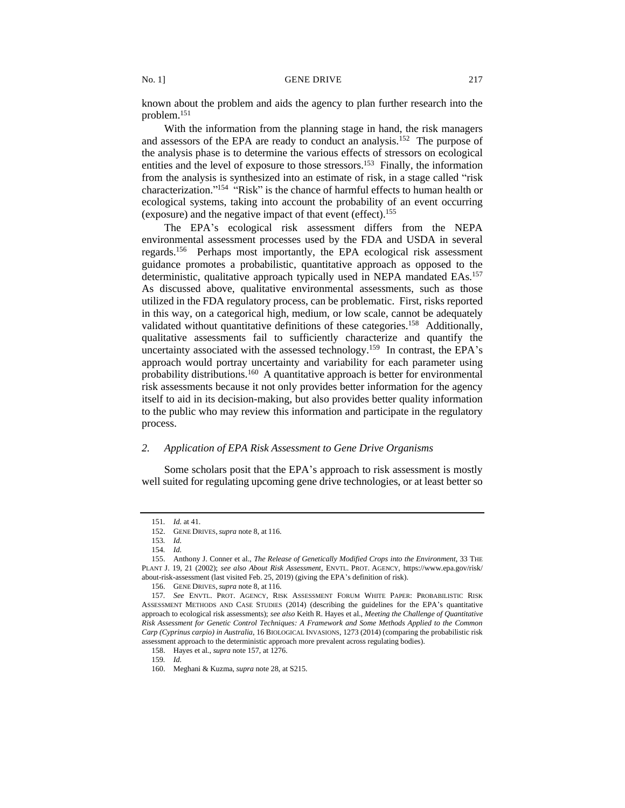known about the problem and aids the agency to plan further research into the problem.<sup>151</sup>

With the information from the planning stage in hand, the risk managers and assessors of the EPA are ready to conduct an analysis.<sup>152</sup> The purpose of the analysis phase is to determine the various effects of stressors on ecological entities and the level of exposure to those stressors.<sup>153</sup> Finally, the information from the analysis is synthesized into an estimate of risk, in a stage called "risk characterization." 154 "Risk" is the chance of harmful effects to human health or ecological systems, taking into account the probability of an event occurring (exposure) and the negative impact of that event (effect).<sup>155</sup>

The EPA's ecological risk assessment differs from the NEPA environmental assessment processes used by the FDA and USDA in several regards.<sup>156</sup> Perhaps most importantly, the EPA ecological risk assessment guidance promotes a probabilistic, quantitative approach as opposed to the deterministic, qualitative approach typically used in NEPA mandated EAs.<sup>157</sup> As discussed above, qualitative environmental assessments, such as those utilized in the FDA regulatory process, can be problematic. First, risks reported in this way, on a categorical high, medium, or low scale, cannot be adequately validated without quantitative definitions of these categories.<sup>158</sup> Additionally, qualitative assessments fail to sufficiently characterize and quantify the uncertainty associated with the assessed technology.<sup>159</sup> In contrast, the EPA's approach would portray uncertainty and variability for each parameter using probability distributions.<sup>160</sup> A quantitative approach is better for environmental risk assessments because it not only provides better information for the agency itself to aid in its decision-making, but also provides better quality information to the public who may review this information and participate in the regulatory process.

## *2. Application of EPA Risk Assessment to Gene Drive Organisms*

Some scholars posit that the EPA's approach to risk assessment is mostly well suited for regulating upcoming gene drive technologies, or at least better so

<sup>151</sup>*. Id.* at 41.

<sup>152.</sup> GENE DRIVES,*supra* note 8, at 116.

<sup>153</sup>*. Id.*

<sup>154</sup>*. Id.*

<sup>155.</sup> Anthony J. Conner et al., *The Release of Genetically Modified Crops into the Environment*, 33 THE PLANT J. 19, 21 (2002); *see also About Risk Assessment*, ENVTL. PROT. AGENCY, https://www.epa.gov/risk/ about-risk-assessment (last visited Feb. 25, 2019) (giving the EPA's definition of risk).

<sup>156.</sup> GENE DRIVES,*supra* note 8, at 116.

<sup>157</sup>*. See* ENVTL. PROT. AGENCY, RISK ASSESSMENT FORUM WHITE PAPER: PROBABILISTIC RISK ASSESSMENT METHODS AND CASE STUDIES (2014) (describing the guidelines for the EPA's quantitative approach to ecological risk assessments); *see also* Keith R. Hayes et al., *Meeting the Challenge of Quantitative Risk Assessment for Genetic Control Techniques: A Framework and Some Methods Applied to the Common Carp (Cyprinus carpio) in Australia*, 16 BIOLOGICAL INVASIONS, 1273 (2014) (comparing the probabilistic risk assessment approach to the deterministic approach more prevalent across regulating bodies).

<sup>158.</sup> Hayes et al., *supra* note 157, at 1276.

<sup>159</sup>*. Id.*

<sup>160.</sup> Meghani & Kuzma, *supra* note 28, at S215.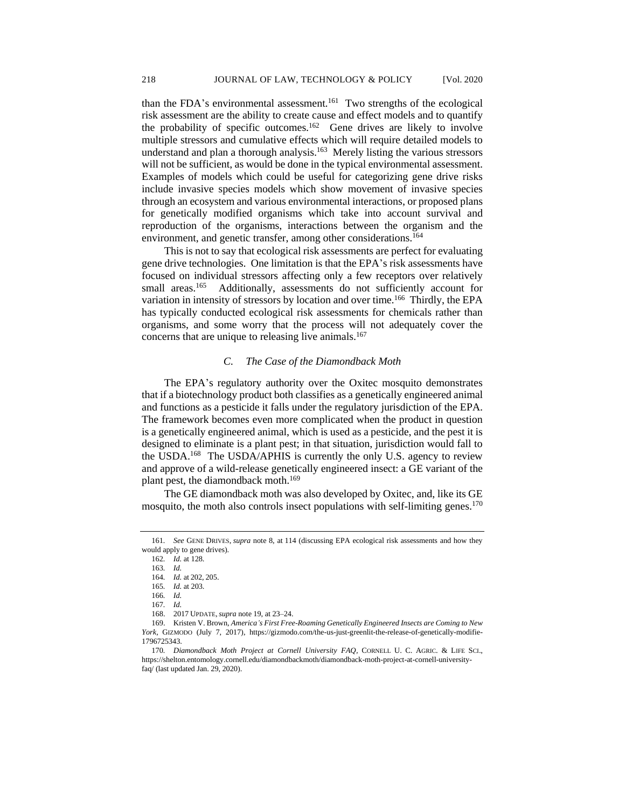than the FDA's environmental assessment.<sup>161</sup> Two strengths of the ecological risk assessment are the ability to create cause and effect models and to quantify the probability of specific outcomes.<sup>162</sup> Gene drives are likely to involve multiple stressors and cumulative effects which will require detailed models to understand and plan a thorough analysis.<sup>163</sup> Merely listing the various stressors will not be sufficient, as would be done in the typical environmental assessment. Examples of models which could be useful for categorizing gene drive risks include invasive species models which show movement of invasive species through an ecosystem and various environmental interactions, or proposed plans for genetically modified organisms which take into account survival and reproduction of the organisms, interactions between the organism and the environment, and genetic transfer, among other considerations.<sup>164</sup>

This is not to say that ecological risk assessments are perfect for evaluating gene drive technologies. One limitation is that the EPA's risk assessments have focused on individual stressors affecting only a few receptors over relatively small areas.<sup>165</sup> Additionally, assessments do not sufficiently account for variation in intensity of stressors by location and over time.<sup>166</sup> Thirdly, the EPA has typically conducted ecological risk assessments for chemicals rather than organisms, and some worry that the process will not adequately cover the concerns that are unique to releasing live animals.<sup>167</sup>

## *C. The Case of the Diamondback Moth*

The EPA's regulatory authority over the Oxitec mosquito demonstrates that if a biotechnology product both classifies as a genetically engineered animal and functions as a pesticide it falls under the regulatory jurisdiction of the EPA. The framework becomes even more complicated when the product in question is a genetically engineered animal, which is used as a pesticide, and the pest it is designed to eliminate is a plant pest; in that situation, jurisdiction would fall to the USDA.<sup>168</sup> The USDA/APHIS is currently the only U.S. agency to review and approve of a wild-release genetically engineered insect: a GE variant of the plant pest, the diamondback moth.<sup>169</sup>

The GE diamondback moth was also developed by Oxitec, and, like its GE mosquito, the moth also controls insect populations with self-limiting genes.<sup>170</sup>

<sup>161</sup>*. See* GENE DRIVES, *supra* note 8, at 114 (discussing EPA ecological risk assessments and how they would apply to gene drives).

<sup>162</sup>*. Id.* at 128.

<sup>163</sup>*. Id.*

<sup>164</sup>*. Id.* at 202, 205.

<sup>165</sup>*. Id.* at 203.

<sup>166</sup>*. Id.*

<sup>167</sup>*. Id.*

<sup>168.</sup> 2017 UPDATE,*supra* note 19, at 23–24.

<sup>169.</sup> Kristen V. Brown, *America's First Free-Roaming Genetically Engineered Insects are Coming to New York,* GIZMODO (July 7, 2017), https://gizmodo.com/the-us-just-greenlit-the-release-of-genetically-modifie-1796725343.

<sup>170</sup>*. Diamondback Moth Project at Cornell University FAQ,* CORNELL U. C. AGRIC. & LIFE SCI., https://shelton.entomology.cornell.edu/diamondbackmoth/diamondback-moth-project-at-cornell-universityfaq/ (last updated Jan. 29, 2020).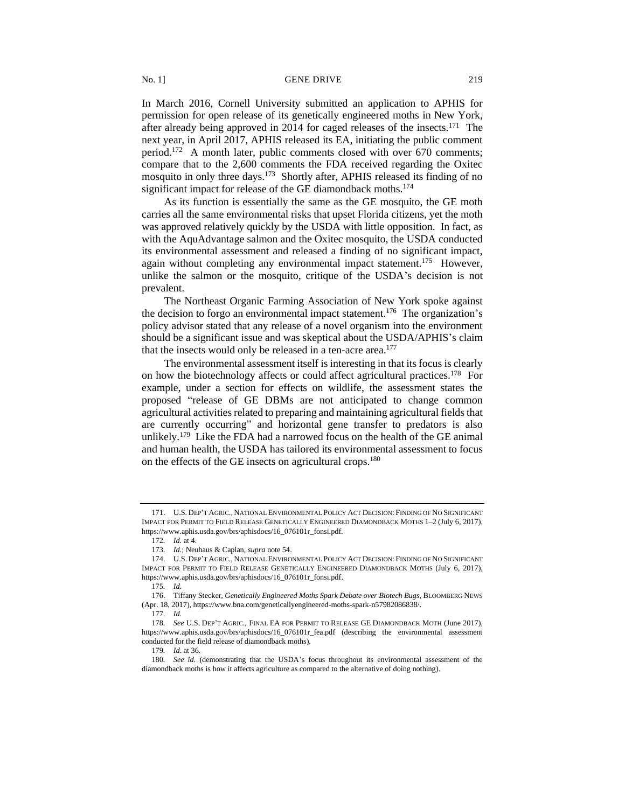In March 2016, Cornell University submitted an application to APHIS for permission for open release of its genetically engineered moths in New York, after already being approved in 2014 for caged releases of the insects.<sup>171</sup> The next year, in April 2017, APHIS released its EA, initiating the public comment period.<sup>172</sup> A month later, public comments closed with over 670 comments; compare that to the 2,600 comments the FDA received regarding the Oxitec mosquito in only three days.<sup>173</sup> Shortly after, APHIS released its finding of no significant impact for release of the GE diamondback moths.<sup>174</sup>

As its function is essentially the same as the GE mosquito, the GE moth carries all the same environmental risks that upset Florida citizens, yet the moth was approved relatively quickly by the USDA with little opposition. In fact, as with the AquAdvantage salmon and the Oxitec mosquito, the USDA conducted its environmental assessment and released a finding of no significant impact, again without completing any environmental impact statement.<sup>175</sup> However, unlike the salmon or the mosquito, critique of the USDA's decision is not prevalent.

The Northeast Organic Farming Association of New York spoke against the decision to forgo an environmental impact statement.<sup>176</sup> The organization's policy advisor stated that any release of a novel organism into the environment should be a significant issue and was skeptical about the USDA/APHIS's claim that the insects would only be released in a ten-acre area.<sup>177</sup>

The environmental assessment itself is interesting in that its focus is clearly on how the biotechnology affects or could affect agricultural practices.<sup>178</sup> For example, under a section for effects on wildlife, the assessment states the proposed "release of GE DBMs are not anticipated to change common agricultural activities related to preparing and maintaining agricultural fields that are currently occurring" and horizontal gene transfer to predators is also unlikely.<sup>179</sup> Like the FDA had a narrowed focus on the health of the GE animal and human health, the USDA has tailored its environmental assessment to focus on the effects of the GE insects on agricultural crops.<sup>180</sup>

<sup>171.</sup> U.S. DEP'T AGRIC., NATIONAL ENVIRONMENTAL POLICY ACT DECISION: FINDING OF NO SIGNIFICANT IMPACT FOR PERMIT TO FIELD RELEASE GENETICALLY ENGINEERED DIAMONDBACK MOTHS 1–2 (July 6, 2017), https://www.aphis.usda.gov/brs/aphisdocs/16\_076101r\_fonsi.pdf.

<sup>172</sup>*. Id.* at 4.

<sup>173</sup>*. Id.*; Neuhaus & Caplan, *supra* note 54.

<sup>174.</sup> U.S. DEP'T AGRIC., NATIONAL ENVIRONMENTAL POLICY ACT DECISION: FINDING OF NO SIGNIFICANT IMPACT FOR PERMIT TO FIELD RELEASE GENETICALLY ENGINEERED DIAMONDBACK MOTHS (July 6, 2017), https://www.aphis.usda.gov/brs/aphisdocs/16\_076101r\_fonsi.pdf.

<sup>175</sup>*. Id*.

<sup>176.</sup> Tiffany Stecker, *Genetically Engineered Moths Spark Debate over Biotech Bugs,* BLOOMBERG NEWS (Apr. 18, 2017), https://www.bna.com/geneticallyengineered-moths-spark-n57982086838/.

<sup>177</sup>*. Id.*

<sup>178</sup>*. See* U.S. DEP'T AGRIC., FINAL EA FOR PERMIT TO RELEASE GE DIAMONDBACK MOTH (June 2017), https://www.aphis.usda.gov/brs/aphisdocs/16\_076101r\_fea.pdf (describing the environmental assessment conducted for the field release of diamondback moths).

<sup>179</sup>*. Id*. at 36*.*

<sup>180</sup>*. See id.* (demonstrating that the USDA's focus throughout its environmental assessment of the diamondback moths is how it affects agriculture as compared to the alternative of doing nothing).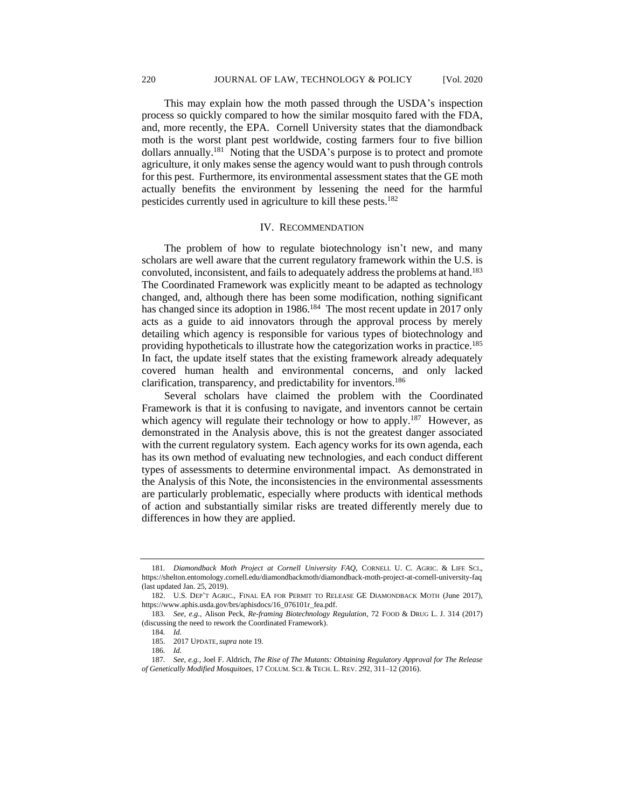This may explain how the moth passed through the USDA's inspection process so quickly compared to how the similar mosquito fared with the FDA, and, more recently, the EPA. Cornell University states that the diamondback moth is the worst plant pest worldwide, costing farmers four to five billion dollars annually.<sup>181</sup> Noting that the USDA's purpose is to protect and promote agriculture, it only makes sense the agency would want to push through controls for this pest. Furthermore, its environmental assessment states that the GE moth actually benefits the environment by lessening the need for the harmful pesticides currently used in agriculture to kill these pests.<sup>182</sup>

#### IV. RECOMMENDATION

The problem of how to regulate biotechnology isn't new, and many scholars are well aware that the current regulatory framework within the U.S. is convoluted, inconsistent, and fails to adequately address the problems at hand.<sup>183</sup> The Coordinated Framework was explicitly meant to be adapted as technology changed, and, although there has been some modification, nothing significant has changed since its adoption in 1986.<sup>184</sup> The most recent update in 2017 only acts as a guide to aid innovators through the approval process by merely detailing which agency is responsible for various types of biotechnology and providing hypotheticals to illustrate how the categorization works in practice.<sup>185</sup> In fact, the update itself states that the existing framework already adequately covered human health and environmental concerns, and only lacked clarification, transparency, and predictability for inventors.<sup>186</sup>

Several scholars have claimed the problem with the Coordinated Framework is that it is confusing to navigate, and inventors cannot be certain which agency will regulate their technology or how to apply.<sup>187</sup> However, as demonstrated in the Analysis above, this is not the greatest danger associated with the current regulatory system. Each agency works for its own agenda, each has its own method of evaluating new technologies, and each conduct different types of assessments to determine environmental impact. As demonstrated in the Analysis of this Note, the inconsistencies in the environmental assessments are particularly problematic, especially where products with identical methods of action and substantially similar risks are treated differently merely due to differences in how they are applied.

<sup>181</sup>*. Diamondback Moth Project at Cornell University FAQ,* CORNELL U. C. AGRIC. & LIFE SCI., https://shelton.entomology.cornell.edu/diamondbackmoth/diamondback-moth-project-at-cornell-university-faq (last updated Jan. 25, 2019).

<sup>182.</sup> U.S. DEP'T AGRIC., FINAL EA FOR PERMIT TO RELEASE GE DIAMONDBACK MOTH (June 2017), https://www.aphis.usda.gov/brs/aphisdocs/16\_076101r\_fea.pdf.

<sup>183</sup>*. See, e.g.,* Alison Peck, *Re-framing Biotechnology Regulation*, 72 FOOD & DRUG L. J. 314 (2017) (discussing the need to rework the Coordinated Framework).

<sup>184</sup>*. Id.*

<sup>185.</sup> 2017 UPDATE,*supra* note 19*.*

<sup>186</sup>*. Id.*

<sup>187</sup>*. See, e.g.*, Joel F. Aldrich, *The Rise of The Mutants: Obtaining Regulatory Approval for The Release of Genetically Modified Mosquitoes*, 17 COLUM. SCI. & TECH. L. REV. 292, 311–12 (2016).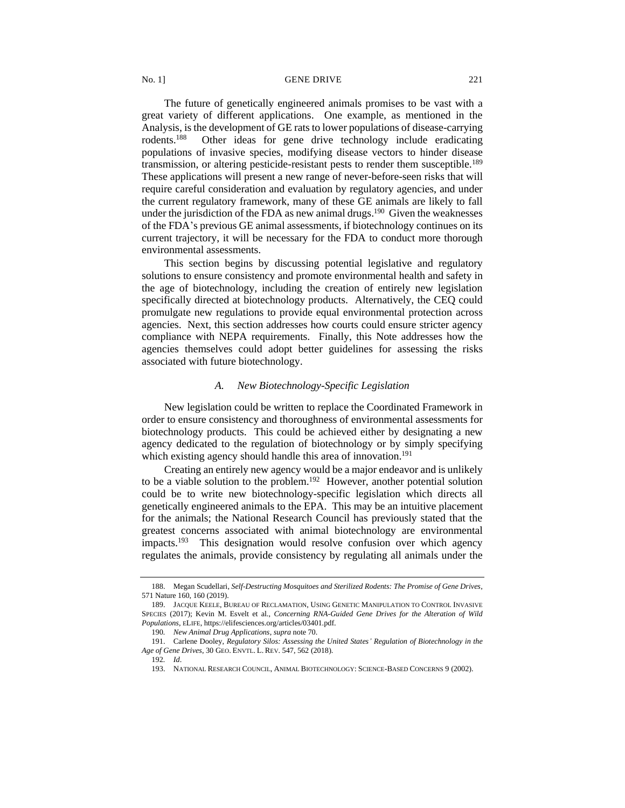The future of genetically engineered animals promises to be vast with a great variety of different applications. One example, as mentioned in the Analysis, is the development of GE rats to lower populations of disease-carrying rodents.<sup>188</sup> Other ideas for gene drive technology include eradicating populations of invasive species, modifying disease vectors to hinder disease transmission, or altering pesticide-resistant pests to render them susceptible.<sup>189</sup> These applications will present a new range of never-before-seen risks that will require careful consideration and evaluation by regulatory agencies, and under the current regulatory framework, many of these GE animals are likely to fall under the jurisdiction of the FDA as new animal drugs.<sup>190</sup> Given the weaknesses of the FDA's previous GE animal assessments, if biotechnology continues on its current trajectory, it will be necessary for the FDA to conduct more thorough environmental assessments.

This section begins by discussing potential legislative and regulatory solutions to ensure consistency and promote environmental health and safety in the age of biotechnology, including the creation of entirely new legislation specifically directed at biotechnology products. Alternatively, the CEQ could promulgate new regulations to provide equal environmental protection across agencies. Next, this section addresses how courts could ensure stricter agency compliance with NEPA requirements. Finally, this Note addresses how the agencies themselves could adopt better guidelines for assessing the risks associated with future biotechnology.

## *A. New Biotechnology-Specific Legislation*

New legislation could be written to replace the Coordinated Framework in order to ensure consistency and thoroughness of environmental assessments for biotechnology products. This could be achieved either by designating a new agency dedicated to the regulation of biotechnology or by simply specifying which existing agency should handle this area of innovation.<sup>191</sup>

Creating an entirely new agency would be a major endeavor and is unlikely to be a viable solution to the problem.<sup>192</sup> However, another potential solution could be to write new biotechnology-specific legislation which directs all genetically engineered animals to the EPA. This may be an intuitive placement for the animals; the National Research Council has previously stated that the greatest concerns associated with animal biotechnology are environmental impacts.<sup>193</sup> This designation would resolve confusion over which agency regulates the animals, provide consistency by regulating all animals under the

<sup>188.</sup> Megan Scudellari, *Self-Destructing Mosquitoes and Sterilized Rodents: The Promise of Gene Drives*, 571 Nature 160, 160 (2019).

<sup>189.</sup> JACQUE KEELE, BUREAU OF RECLAMATION, USING GENETIC MANIPULATION TO CONTROL INVASIVE SPECIES (2017); Kevin M. Esvelt et al., *Concerning RNA-Guided Gene Drives for the Alteration of Wild Populations*, ELIFE, https://elifesciences.org/articles/03401.pdf.

<sup>190</sup>*. New Animal Drug Applications*, *supra* note 70.

<sup>191.</sup> Carlene Dooley, *Regulatory Silos: Assessing the United States' Regulation of Biotechnology in the Age of Gene Drives*, 30 GEO. ENVTL. L. REV. 547, 562 (2018).

<sup>192</sup>*. Id*.

<sup>193.</sup> NATIONAL RESEARCH COUNCIL, ANIMAL BIOTECHNOLOGY: SCIENCE-BASED CONCERNS 9 (2002).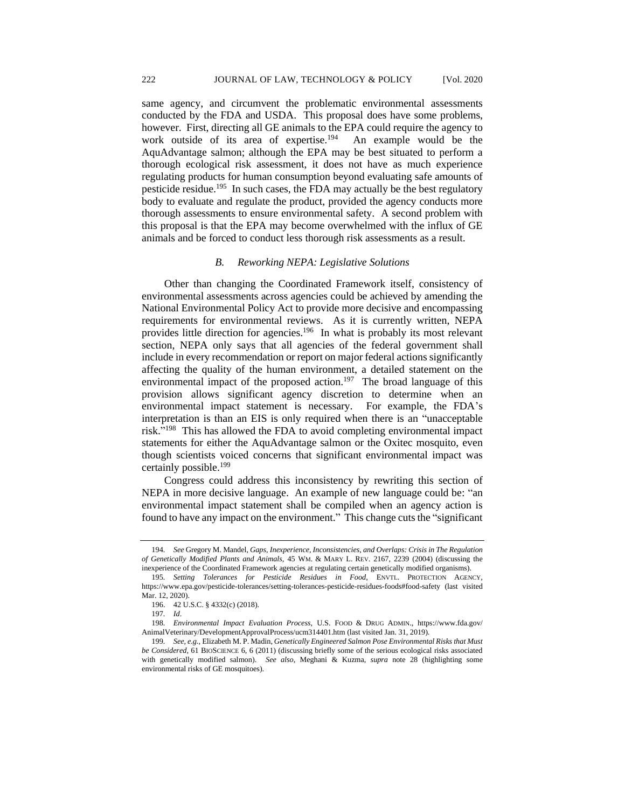same agency, and circumvent the problematic environmental assessments conducted by the FDA and USDA. This proposal does have some problems, however. First, directing all GE animals to the EPA could require the agency to work outside of its area of expertise.<sup>194</sup> An example would be the AquAdvantage salmon; although the EPA may be best situated to perform a thorough ecological risk assessment, it does not have as much experience regulating products for human consumption beyond evaluating safe amounts of pesticide residue.<sup>195</sup> In such cases, the FDA may actually be the best regulatory body to evaluate and regulate the product, provided the agency conducts more thorough assessments to ensure environmental safety. A second problem with this proposal is that the EPA may become overwhelmed with the influx of GE animals and be forced to conduct less thorough risk assessments as a result.

## *B. Reworking NEPA: Legislative Solutions*

Other than changing the Coordinated Framework itself, consistency of environmental assessments across agencies could be achieved by amending the National Environmental Policy Act to provide more decisive and encompassing requirements for environmental reviews. As it is currently written, NEPA provides little direction for agencies.<sup>196</sup> In what is probably its most relevant section, NEPA only says that all agencies of the federal government shall include in every recommendation or report on major federal actions significantly affecting the quality of the human environment, a detailed statement on the environmental impact of the proposed action.<sup>197</sup> The broad language of this provision allows significant agency discretion to determine when an environmental impact statement is necessary. For example, the FDA's interpretation is than an EIS is only required when there is an "unacceptable risk." 198 This has allowed the FDA to avoid completing environmental impact statements for either the AquAdvantage salmon or the Oxitec mosquito, even though scientists voiced concerns that significant environmental impact was certainly possible.<sup>199</sup>

Congress could address this inconsistency by rewriting this section of NEPA in more decisive language. An example of new language could be: "an environmental impact statement shall be compiled when an agency action is found to have any impact on the environment." This change cuts the "significant

<sup>194</sup>*. See* Gregory M. Mandel, *Gaps, Inexperience, Inconsistencies, and Overlaps: Crisis in The Regulation of Genetically Modified Plants and Animals,* 45 WM. & MARY L. REV. 2167, 2239 (2004) (discussing the inexperience of the Coordinated Framework agencies at regulating certain genetically modified organisms).

<sup>195</sup>*. Setting Tolerances for Pesticide Residues in Food,* ENVTL. PROTECTION AGENCY, https://www.epa.gov/pesticide-tolerances/setting-tolerances-pesticide-residues-foods#food-safety (last visited Mar. 12, 2020).

<sup>196.</sup> 42 U.S.C. § 4332(c) (2018).

<sup>197</sup>*. Id*.

<sup>198</sup>*. Environmental Impact Evaluation Process,* U.S. FOOD & DRUG ADMIN., https://www.fda.gov/ AnimalVeterinary/DevelopmentApprovalProcess/ucm314401.htm (last visited Jan. 31, 2019).

<sup>199</sup>*. See, e.g.,* Elizabeth M. P. Madin, *Genetically Engineered Salmon Pose Environmental Risks that Must be Considered,* 61 BIOSCIENCE 6, 6 (2011) (discussing briefly some of the serious ecological risks associated with genetically modified salmon). *See also,* Meghani & Kuzma, *supra* note 28 (highlighting some environmental risks of GE mosquitoes).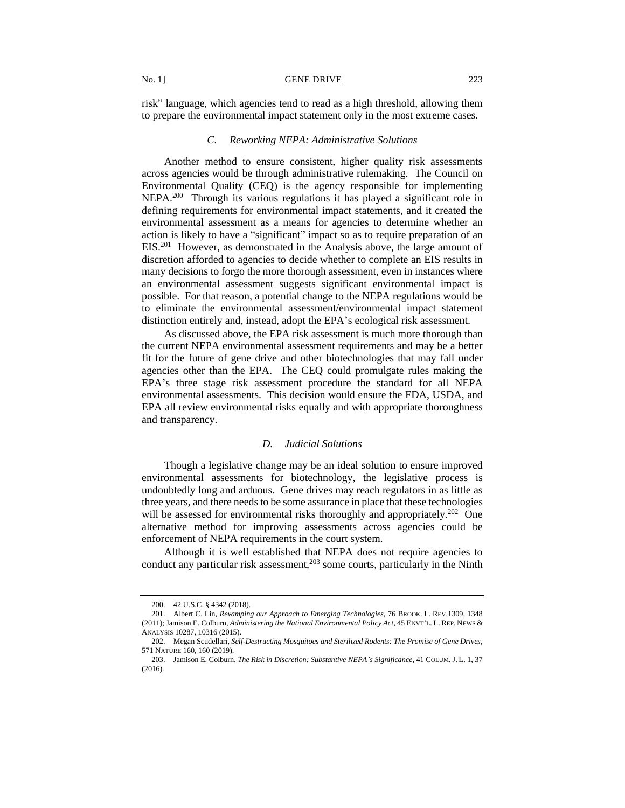risk" language, which agencies tend to read as a high threshold, allowing them to prepare the environmental impact statement only in the most extreme cases.

## *C. Reworking NEPA: Administrative Solutions*

Another method to ensure consistent, higher quality risk assessments across agencies would be through administrative rulemaking. The Council on Environmental Quality (CEQ) is the agency responsible for implementing NEPA.<sup>200</sup> Through its various regulations it has played a significant role in defining requirements for environmental impact statements, and it created the environmental assessment as a means for agencies to determine whether an action is likely to have a "significant" impact so as to require preparation of an EIS.<sup>201</sup> However, as demonstrated in the Analysis above, the large amount of discretion afforded to agencies to decide whether to complete an EIS results in many decisions to forgo the more thorough assessment, even in instances where an environmental assessment suggests significant environmental impact is possible. For that reason, a potential change to the NEPA regulations would be to eliminate the environmental assessment/environmental impact statement distinction entirely and, instead, adopt the EPA's ecological risk assessment.

As discussed above, the EPA risk assessment is much more thorough than the current NEPA environmental assessment requirements and may be a better fit for the future of gene drive and other biotechnologies that may fall under agencies other than the EPA. The CEQ could promulgate rules making the EPA's three stage risk assessment procedure the standard for all NEPA environmental assessments. This decision would ensure the FDA, USDA, and EPA all review environmental risks equally and with appropriate thoroughness and transparency.

## *D. Judicial Solutions*

Though a legislative change may be an ideal solution to ensure improved environmental assessments for biotechnology, the legislative process is undoubtedly long and arduous. Gene drives may reach regulators in as little as three years, and there needs to be some assurance in place that these technologies will be assessed for environmental risks thoroughly and appropriately.<sup>202</sup> One alternative method for improving assessments across agencies could be enforcement of NEPA requirements in the court system.

Although it is well established that NEPA does not require agencies to conduct any particular risk assessment, $2^{03}$  some courts, particularly in the Ninth

<sup>200.</sup> 42 U.S.C. § 4342 (2018).

<sup>201.</sup> Albert C. Lin, *Revamping our Approach to Emerging Technologies,* 76 BROOK. L. REV.1309, 1348 (2011); Jamison E. Colburn, *Administering the National Environmental Policy Act*, 45 ENVT'L. L. REP. NEWS & ANALYSIS 10287, 10316 (2015).

<sup>202.</sup> Megan Scudellari, *Self-Destructing Mosquitoes and Sterilized Rodents: The Promise of Gene Drives*, 571 NATURE 160, 160 (2019).

<sup>203.</sup> Jamison E. Colburn, *The Risk in Discretion: Substantive NEPA's Significance*, 41 COLUM. J. L. 1, 37 (2016).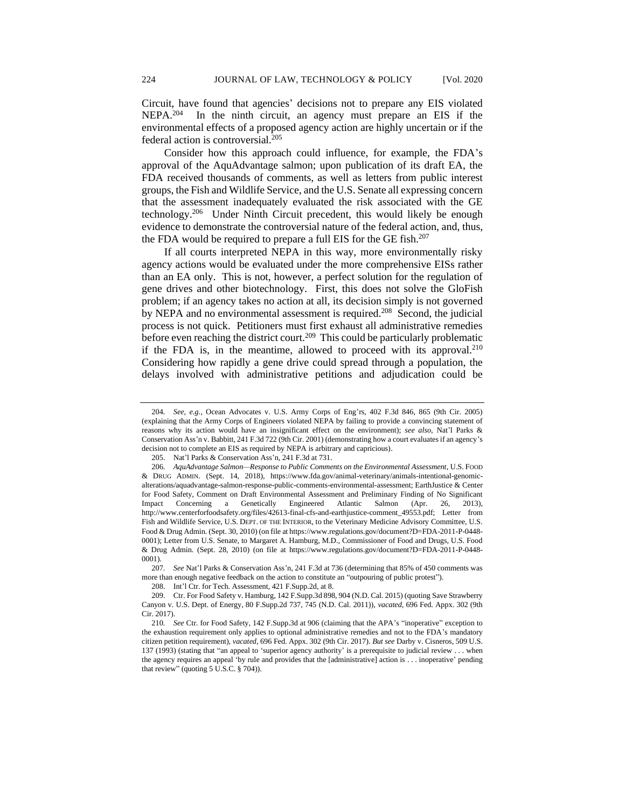Circuit, have found that agencies' decisions not to prepare any EIS violated NEPA.<sup>204</sup> In the ninth circuit, an agency must prepare an EIS if the environmental effects of a proposed agency action are highly uncertain or if the federal action is controversial.<sup>205</sup>

Consider how this approach could influence, for example, the FDA's approval of the AquAdvantage salmon; upon publication of its draft EA, the FDA received thousands of comments, as well as letters from public interest groups, the Fish and Wildlife Service, and the U.S. Senate all expressing concern that the assessment inadequately evaluated the risk associated with the GE technology.<sup>206</sup> Under Ninth Circuit precedent, this would likely be enough evidence to demonstrate the controversial nature of the federal action, and, thus, the FDA would be required to prepare a full EIS for the GE fish.<sup>207</sup>

If all courts interpreted NEPA in this way, more environmentally risky agency actions would be evaluated under the more comprehensive EISs rather than an EA only. This is not, however, a perfect solution for the regulation of gene drives and other biotechnology. First, this does not solve the GloFish problem; if an agency takes no action at all, its decision simply is not governed by NEPA and no environmental assessment is required.<sup>208</sup> Second, the judicial process is not quick. Petitioners must first exhaust all administrative remedies before even reaching the district court.<sup>209</sup> This could be particularly problematic if the FDA is, in the meantime, allowed to proceed with its approval. $210$ Considering how rapidly a gene drive could spread through a population, the delays involved with administrative petitions and adjudication could be

207*. See* Nat'l Parks & Conservation Ass'n, 241 F.3d at 736 (determining that 85% of 450 comments was more than enough negative feedback on the action to constitute an "outpouring of public protest").

208. Int'l Ctr. for Tech. Assessment, 421 F.Supp.2d, at 8.

<sup>204</sup>*. See, e.g.*, Ocean Advocates v. U.S. Army Corps of Eng'rs, 402 F.3d 846, 865 (9th Cir. 2005) (explaining that the Army Corps of Engineers violated NEPA by failing to provide a convincing statement of reasons why its action would have an insignificant effect on the environment); *see also,* Nat'l Parks & Conservation Ass'n v. Babbitt, 241 F.3d 722 (9th Cir. 2001) (demonstrating how a court evaluates if an agency's decision not to complete an EIS as required by NEPA is arbitrary and capricious).

<sup>205.</sup> Nat'l Parks & Conservation Ass'n, 241 F.3d at 731.

<sup>206</sup>*. AquAdvantage Salmon—Response to Public Comments on the Environmental Assessment*, U.S. FOOD & DRUG ADMIN. (Sept. 14, 2018), https://www.fda.gov/animal-veterinary/animals-intentional-genomicalterations/aquadvantage-salmon-response-public-comments-environmental-assessment; EarthJustice & Center for Food Safety, Comment on Draft Environmental Assessment and Preliminary Finding of No Significant Impact Concerning a Genetically Engineered Atlantic Salmon (Apr. 26, 2013), http://www.centerforfoodsafety.org/files/42613-final-cfs-and-earthjustice-comment\_49553.pdf; Letter from Fish and Wildlife Service, U.S. DEPT. OF THE INTERIOR, to the Veterinary Medicine Advisory Committee, U.S. Food & Drug Admin. (Sept. 30, 2010) (on file at https://www.regulations.gov/document?D=FDA-2011-P-0448- 0001); Letter from U.S. Senate, to Margaret A. Hamburg, M.D., Commissioner of Food and Drugs, U.S. Food & Drug Admin. (Sept. 28, 2010) (on file at https://www.regulations.gov/document?D=FDA-2011-P-0448- 0001).

<sup>209.</sup> Ctr. For Food Safety v. Hamburg, 142 F.Supp.3d 898, 904 (N.D. Cal. 2015) (quoting Save Strawberry Canyon v. U.S. Dept. of Energy, 80 F.Supp.2d 737, 745 (N.D. Cal. 2011)), *vacated*, 696 Fed. Appx. 302 (9th Cir. 2017).

<sup>210</sup>*. See* Ctr. for Food Safety, 142 F.Supp.3d at 906 (claiming that the APA's "inoperative" exception to the exhaustion requirement only applies to optional administrative remedies and not to the FDA's mandatory citizen petition requirement), *vacated*, 696 Fed. Appx. 302 (9th Cir. 2017). *But see* Darby v. Cisneros, 509 U.S. 137 (1993) (stating that "an appeal to 'superior agency authority' is a prerequisite to judicial review . . . when the agency requires an appeal 'by rule and provides that the [administrative] action is . . . inoperative' pending that review" (quoting 5 U.S.C. § 704)).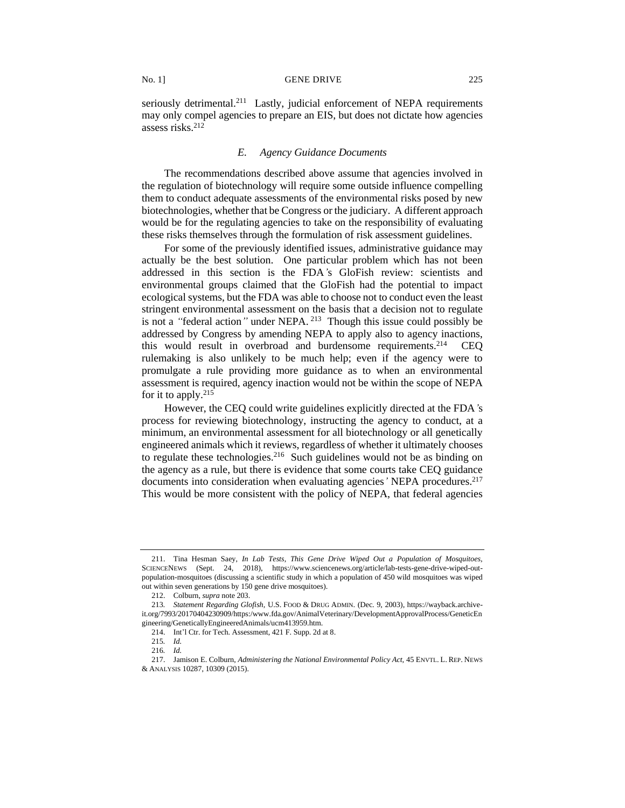seriously detrimental.<sup>211</sup> Lastly, judicial enforcement of NEPA requirements may only compel agencies to prepare an EIS, but does not dictate how agencies assess risks.<sup>212</sup>

## *E. Agency Guidance Documents*

The recommendations described above assume that agencies involved in the regulation of biotechnology will require some outside influence compelling them to conduct adequate assessments of the environmental risks posed by new biotechnologies, whether that be Congress or the judiciary. A different approach would be for the regulating agencies to take on the responsibility of evaluating these risks themselves through the formulation of risk assessment guidelines.

For some of the previously identified issues, administrative guidance may actually be the best solution. One particular problem which has not been addressed in this section is the FDA*'*s GloFish review: scientists and environmental groups claimed that the GloFish had the potential to impact ecological systems, but the FDA was able to choose not to conduct even the least stringent environmental assessment on the basis that a decision not to regulate is not a *"*federal action*"* under NEPA. <sup>213</sup> Though this issue could possibly be addressed by Congress by amending NEPA to apply also to agency inactions, this would result in overbroad and burdensome requirements.<sup>214</sup> CEQ rulemaking is also unlikely to be much help; even if the agency were to promulgate a rule providing more guidance as to when an environmental assessment is required, agency inaction would not be within the scope of NEPA for it to apply. $215$ 

However, the CEQ could write guidelines explicitly directed at the FDA*'*s process for reviewing biotechnology, instructing the agency to conduct, at a minimum, an environmental assessment for all biotechnology or all genetically engineered animals which it reviews, regardless of whether it ultimately chooses to regulate these technologies.<sup>216</sup> Such guidelines would not be as binding on the agency as a rule, but there is evidence that some courts take CEQ guidance documents into consideration when evaluating agencies*'* NEPA procedures.<sup>217</sup> This would be more consistent with the policy of NEPA, that federal agencies

<sup>211.</sup> Tina Hesman Saey, *In Lab Tests, This Gene Drive Wiped Out a Population of Mosquitoes,* SCIENCENEWS (Sept. 24, 2018), [https://www.sciencenews.org/article/lab-tests-gene-drive-wiped-out](https://www.sciencenews.org/article/lab-tests-gene-drive-wiped-out-population-mosquitoes)[population-mosquitoes](https://www.sciencenews.org/article/lab-tests-gene-drive-wiped-out-population-mosquitoes) (discussing a scientific study in which a population of 450 wild mosquitoes was wiped out within seven generations by 150 gene drive mosquitoes).

<sup>212.</sup> Colburn, *supra* note 203.

<sup>213</sup>*. Statement Regarding Glofish,* U.S. FOOD & DRUG ADMIN. (Dec. 9, 2003), https://wayback.archiveit.org/7993/20170404230909/https:/www.fda.gov/AnimalVeterinary/DevelopmentApprovalProcess/GeneticEn gineering/GeneticallyEngineeredAnimals/ucm413959.htm.

<sup>214.</sup> Int'l Ctr. for Tech. Assessment, 421 F. Supp. 2d at 8.

<sup>215</sup>*. Id.*

<sup>216</sup>*. Id.*

<sup>217.</sup> Jamison E. Colburn, *Administering the National Environmental Policy Act,* 45 ENVTL. L. REP. NEWS & ANALYSIS 10287, 10309 (2015).